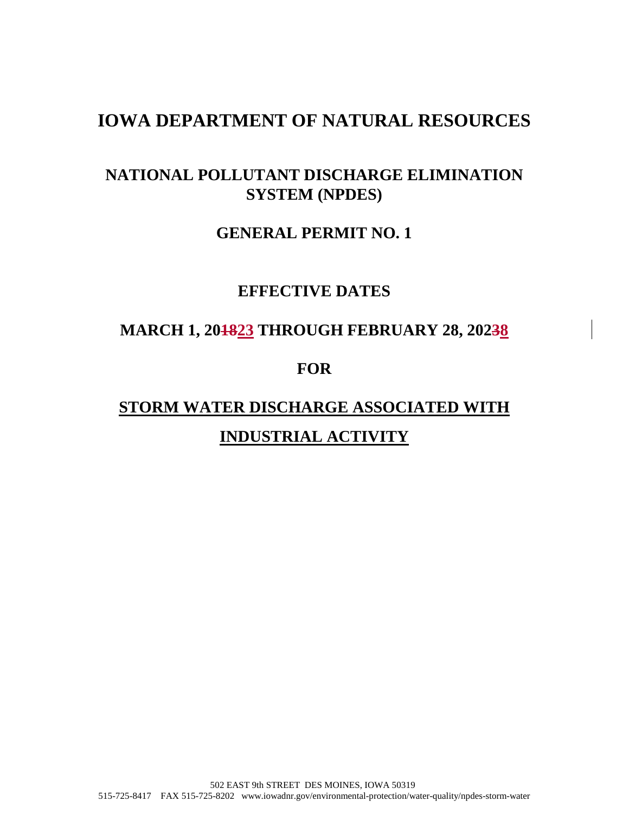# **IOWA DEPARTMENT OF NATURAL RESOURCES**

# **NATIONAL POLLUTANT DISCHARGE ELIMINATION SYSTEM (NPDES)**

# **GENERAL PERMIT NO. 1**

# **EFFECTIVE DATES**

# **MARCH 1, 201823 THROUGH FEBRUARY 28, 20238**

# **FOR**

# **STORM WATER DISCHARGE ASSOCIATED WITH INDUSTRIAL ACTIVITY**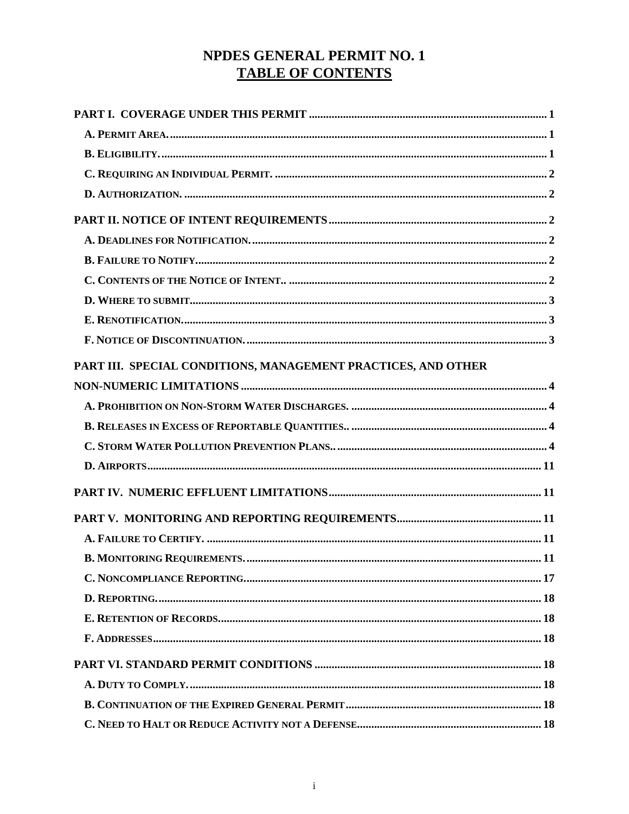# NPDES GENERAL PERMIT NO. 1 **TABLE OF CONTENTS**

| PART III. SPECIAL CONDITIONS, MANAGEMENT PRACTICES, AND OTHER |  |
|---------------------------------------------------------------|--|
|                                                               |  |
|                                                               |  |
|                                                               |  |
|                                                               |  |
|                                                               |  |
|                                                               |  |
|                                                               |  |
|                                                               |  |
|                                                               |  |
|                                                               |  |
|                                                               |  |
|                                                               |  |
|                                                               |  |
|                                                               |  |
|                                                               |  |
|                                                               |  |
|                                                               |  |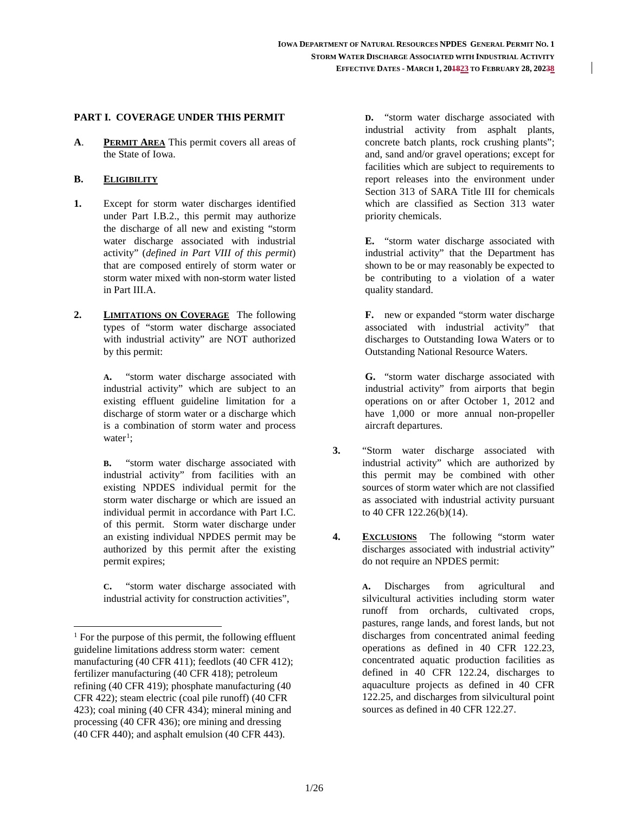#### **PART I. COVERAGE UNDER THIS PERMIT**

**A**. **PERMIT AREA** This permit covers all areas of the State of Iowa.

# **B. ELIGIBILITY**

- **1.** Except for storm water discharges identified under Part I.B.2., this permit may authorize the discharge of all new and existing "storm water discharge associated with industrial activity" (*defined in Part VIII of this permit*) that are composed entirely of storm water or storm water mixed with non-storm water listed in Part III.A.
- **2. LIMITATIONS ON COVERAGE** The following types of "storm water discharge associated with industrial activity" are NOT authorized by this permit:

**A.** "storm water discharge associated with industrial activity" which are subject to an existing effluent guideline limitation for a discharge of storm water or a discharge which is a combination of storm water and process water<sup>[1](#page-4-0)</sup>;

**B.** "storm water discharge associated with industrial activity" from facilities with an existing NPDES individual permit for the storm water discharge or which are issued an individual permit in accordance with Part I.C. of this permit. Storm water discharge under an existing individual NPDES permit may be authorized by this permit after the existing permit expires;

**C.** "storm water discharge associated with industrial activity for construction activities",

 $\overline{a}$ 

**D.** "storm water discharge associated with industrial activity from asphalt plants, concrete batch plants, rock crushing plants"; and, sand and/or gravel operations; except for facilities which are subject to requirements to report releases into the environment under Section 313 of SARA Title III for chemicals which are classified as Section 313 water priority chemicals.

**E.** "storm water discharge associated with industrial activity" that the Department has shown to be or may reasonably be expected to be contributing to a violation of a water quality standard.

**F.** new or expanded "storm water discharge associated with industrial activity" that discharges to Outstanding Iowa Waters or to Outstanding National Resource Waters.

**G.** "storm water discharge associated with industrial activity" from airports that begin operations on or after October 1, 2012 and have 1,000 or more annual non-propeller aircraft departures.

- **3.** "Storm water discharge associated with industrial activity" which are authorized by this permit may be combined with other sources of storm water which are not classified as associated with industrial activity pursuant to 40 CFR 122.26(b)(14).
- **4. EXCLUSIONS** The following "storm water discharges associated with industrial activity" do not require an NPDES permit:

**A.** Discharges from agricultural and silvicultural activities including storm water runoff from orchards, cultivated crops, pastures, range lands, and forest lands, but not discharges from concentrated animal feeding operations as defined in 40 CFR 122.23, concentrated aquatic production facilities as defined in 40 CFR 122.24, discharges to aquaculture projects as defined in 40 CFR 122.25, and discharges from silvicultural point sources as defined in 40 CFR 122.27.

<span id="page-4-0"></span> $<sup>1</sup>$  For the purpose of this permit, the following effluent</sup> guideline limitations address storm water: cement manufacturing (40 CFR 411); feedlots (40 CFR 412); fertilizer manufacturing (40 CFR 418); petroleum refining (40 CFR 419); phosphate manufacturing (40 CFR 422); steam electric (coal pile runoff) (40 CFR 423); coal mining (40 CFR 434); mineral mining and processing (40 CFR 436); ore mining and dressing (40 CFR 440); and asphalt emulsion (40 CFR 443).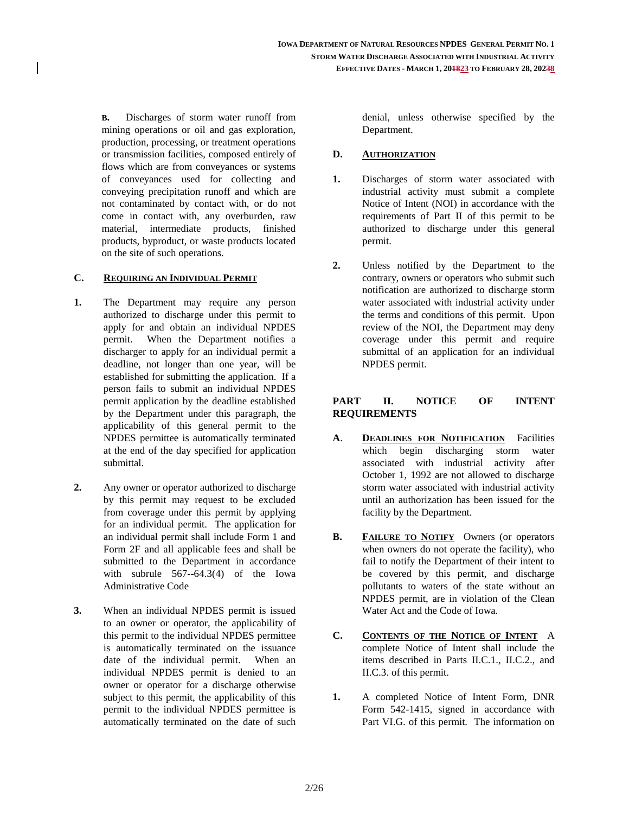**B.** Discharges of storm water runoff from mining operations or oil and gas exploration, production, processing, or treatment operations or transmission facilities, composed entirely of flows which are from conveyances or systems of conveyances used for collecting and conveying precipitation runoff and which are not contaminated by contact with, or do not come in contact with, any overburden, raw material, intermediate products, finished products, byproduct, or waste products located on the site of such operations.

#### **C. REQUIRING AN INDIVIDUAL PERMIT**

- **1.** The Department may require any person authorized to discharge under this permit to apply for and obtain an individual NPDES permit. When the Department notifies a discharger to apply for an individual permit a deadline, not longer than one year, will be established for submitting the application. If a person fails to submit an individual NPDES permit application by the deadline established by the Department under this paragraph, the applicability of this general permit to the NPDES permittee is automatically terminated at the end of the day specified for application submittal.
- **2.** Any owner or operator authorized to discharge by this permit may request to be excluded from coverage under this permit by applying for an individual permit. The application for an individual permit shall include Form 1 and Form 2F and all applicable fees and shall be submitted to the Department in accordance with subrule 567--64.3(4) of the Iowa Administrative Code
- **3.** When an individual NPDES permit is issued to an owner or operator, the applicability of this permit to the individual NPDES permittee is automatically terminated on the issuance date of the individual permit. When an individual NPDES permit is denied to an owner or operator for a discharge otherwise subject to this permit, the applicability of this permit to the individual NPDES permittee is automatically terminated on the date of such

denial, unless otherwise specified by the Department.

#### **D. AUTHORIZATION**

- **1.** Discharges of storm water associated with industrial activity must submit a complete Notice of Intent (NOI) in accordance with the requirements of Part II of this permit to be authorized to discharge under this general permit.
- **2.** Unless notified by the Department to the contrary, owners or operators who submit such notification are authorized to discharge storm water associated with industrial activity under the terms and conditions of this permit. Upon review of the NOI, the Department may deny coverage under this permit and require submittal of an application for an individual NPDES permit.

# **PART II. NOTICE OF INTENT REQUIREMENTS**

- **A**. **DEADLINES FOR NOTIFICATION** Facilities which begin discharging storm water associated with industrial activity after October 1, 1992 are not allowed to discharge storm water associated with industrial activity until an authorization has been issued for the facility by the Department.
- **B.** FAILURE TO NOTIFY Owners (or operators when owners do not operate the facility), who fail to notify the Department of their intent to be covered by this permit, and discharge pollutants to waters of the state without an NPDES permit, are in violation of the Clean Water Act and the Code of Iowa.
- **C. CONTENTS OF THE NOTICE OF INTENT** A complete Notice of Intent shall include the items described in Parts II.C.1., II.C.2., and II.C.3. of this permit.
- **1.** A completed Notice of Intent Form, DNR Form 542-1415, signed in accordance with Part VI.G. of this permit. The information on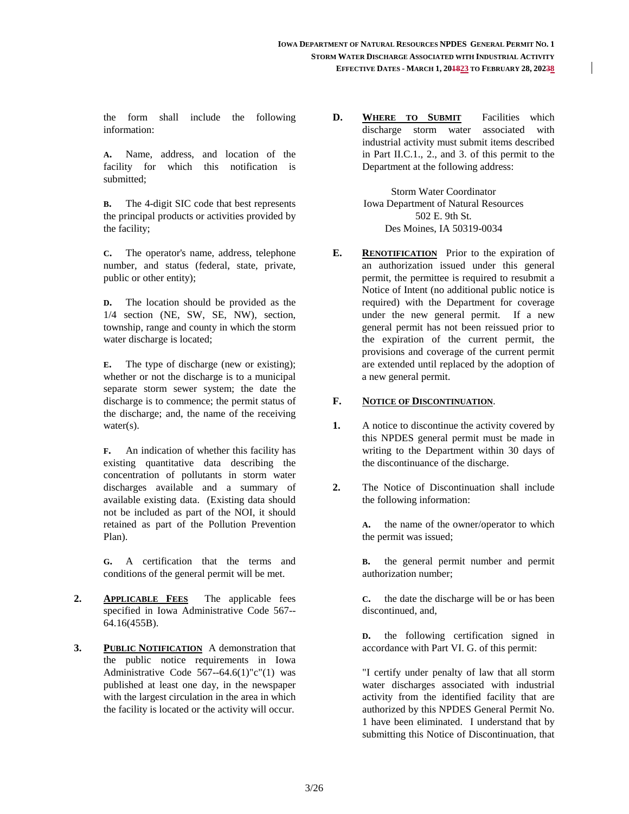the form shall include the following information:

**A.** Name, address, and location of the facility for which this notification is submitted;

**B.** The 4-digit SIC code that best represents the principal products or activities provided by the facility;

**C.** The operator's name, address, telephone number, and status (federal, state, private, public or other entity);

**D.** The location should be provided as the 1/4 section (NE, SW, SE, NW), section, township, range and county in which the storm water discharge is located;

**E.** The type of discharge (new or existing); whether or not the discharge is to a municipal separate storm sewer system; the date the discharge is to commence; the permit status of the discharge; and, the name of the receiving water(s).

**F.** An indication of whether this facility has existing quantitative data describing the concentration of pollutants in storm water discharges available and a summary of available existing data. (Existing data should not be included as part of the NOI, it should retained as part of the Pollution Prevention Plan).

**G.** A certification that the terms and conditions of the general permit will be met.

- **2. APPLICABLE FEES** The applicable fees specified in Iowa Administrative Code 567-- 64.16(455B).
- **3. PUBLIC NOTIFICATION** A demonstration that the public notice requirements in Iowa Administrative Code  $567 - 64.6(1)$ "c"(1) was published at least one day, in the newspaper with the largest circulation in the area in which the facility is located or the activity will occur.

**D. WHERE TO SUBMIT** Facilities which discharge storm water associated with industrial activity must submit items described in Part II.C.1., 2., and 3. of this permit to the Department at the following address:

> Storm Water Coordinator Iowa Department of Natural Resources 502 E. 9th St. Des Moines, IA 50319-0034

**E. RENOTIFICATION** Prior to the expiration of an authorization issued under this general permit, the permittee is required to resubmit a Notice of Intent (no additional public notice is required) with the Department for coverage under the new general permit. If a new general permit has not been reissued prior to the expiration of the current permit, the provisions and coverage of the current permit are extended until replaced by the adoption of a new general permit.

# **F. NOTICE OF DISCONTINUATION**.

- **1.** A notice to discontinue the activity covered by this NPDES general permit must be made in writing to the Department within 30 days of the discontinuance of the discharge.
- **2.** The Notice of Discontinuation shall include the following information:

**A.** the name of the owner/operator to which the permit was issued;

**B.** the general permit number and permit authorization number;

**C.** the date the discharge will be or has been discontinued, and,

**D.** the following certification signed in accordance with Part VI. G. of this permit:

"I certify under penalty of law that all storm water discharges associated with industrial activity from the identified facility that are authorized by this NPDES General Permit No. 1 have been eliminated. I understand that by submitting this Notice of Discontinuation, that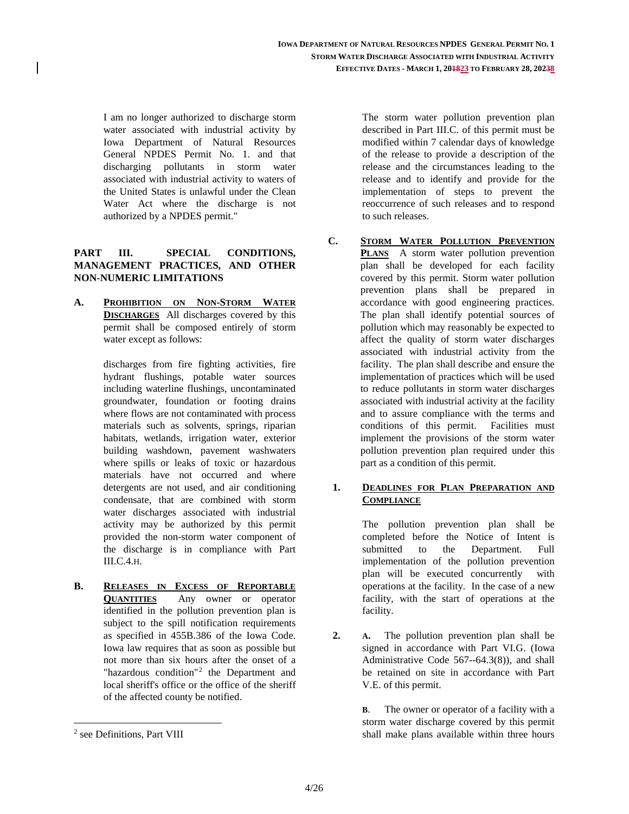I am no longer authorized to discharge storm water associated with industrial activity by Iowa Department of Natural Resources General NPDES Permit No. 1. and that discharging pollutants in storm water associated with industrial activity to waters of the United States is unlawful under the Clean Water Act where the discharge is not authorized by a NPDES permit."

# **PART III. SPECIAL CONDITIONS, MANAGEMENT PRACTICES, AND OTHER NON-NUMERIC LIMITATIONS**

**A. PROHIBITION ON NON-STORM WATER DISCHARGES** All discharges covered by this permit shall be composed entirely of storm water except as follows:

> discharges from fire fighting activities, fire hydrant flushings, potable water sources including waterline flushings, uncontaminated groundwater, foundation or footing drains where flows are not contaminated with process materials such as solvents, springs, riparian habitats, wetlands, irrigation water, exterior building washdown, pavement washwaters where spills or leaks of toxic or hazardous materials have not occurred and where detergents are not used, and air conditioning condensate, that are combined with storm water discharges associated with industrial activity may be authorized by this permit provided the non-storm water component of the discharge is in compliance with Part III.C.4.H.

**B. RELEASES IN EXCESS OF REPORTABLE QUANTITIES** Any owner or operator identified in the pollution prevention plan is subject to the spill notification requirements as specified in 455B.386 of the Iowa Code. Iowa law requires that as soon as possible but not more than six hours after the onset of a "hazardous condition"<sup>[2](#page-7-0)</sup> the Department and local sheriff's office or the office of the sheriff of the affected county be notified.

 $\overline{a}$ 

The storm water pollution prevention plan described in Part III.C. of this permit must be modified within 7 calendar days of knowledge of the release to provide a description of the release and the circumstances leading to the release and to identify and provide for the implementation of steps to prevent the reoccurrence of such releases and to respond to such releases.

**C. STORM WATER POLLUTION PREVENTION PLANS** A storm water pollution prevention plan shall be developed for each facility covered by this permit. Storm water pollution prevention plans shall be prepared in accordance with good engineering practices. The plan shall identify potential sources of pollution which may reasonably be expected to affect the quality of storm water discharges associated with industrial activity from the facility. The plan shall describe and ensure the implementation of practices which will be used to reduce pollutants in storm water discharges associated with industrial activity at the facility and to assure compliance with the terms and conditions of this permit. Facilities must implement the provisions of the storm water pollution prevention plan required under this part as a condition of this permit.

# **1. DEADLINES FOR PLAN PREPARATION AND COMPLIANCE**

The pollution prevention plan shall be completed before the Notice of Intent is submitted to the Department. Full implementation of the pollution prevention plan will be executed concurrently with operations at the facility. In the case of a new facility, with the start of operations at the facility.

**2. A.** The pollution prevention plan shall be signed in accordance with Part VI.G. (Iowa Administrative Code 567--64.3(8)), and shall be retained on site in accordance with Part V.E. of this permit.

> **B**. The owner or operator of a facility with a storm water discharge covered by this permit shall make plans available within three hours

<span id="page-7-0"></span><sup>2</sup> see Definitions, Part VIII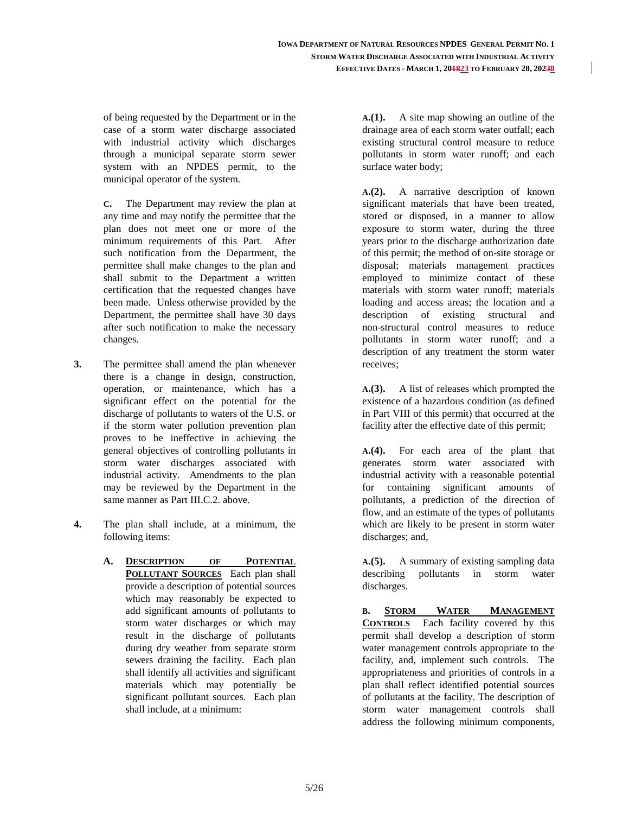of being requested by the Department or in the case of a storm water discharge associated with industrial activity which discharges through a municipal separate storm sewer system with an NPDES permit, to the municipal operator of the system.

**C.** The Department may review the plan at any time and may notify the permittee that the plan does not meet one or more of the minimum requirements of this Part. After such notification from the Department, the permittee shall make changes to the plan and shall submit to the Department a written certification that the requested changes have been made. Unless otherwise provided by the Department, the permittee shall have 30 days after such notification to make the necessary changes.

- **3.** The permittee shall amend the plan whenever there is a change in design, construction, operation, or maintenance, which has a significant effect on the potential for the discharge of pollutants to waters of the U.S. or if the storm water pollution prevention plan proves to be ineffective in achieving the general objectives of controlling pollutants in storm water discharges associated with industrial activity. Amendments to the plan may be reviewed by the Department in the same manner as Part III.C.2. above.
- **4.** The plan shall include, at a minimum, the following items:
	- **A. DESCRIPTION OF POTENTIAL POLLUTANT SOURCES** Each plan shall provide a description of potential sources which may reasonably be expected to add significant amounts of pollutants to storm water discharges or which may result in the discharge of pollutants during dry weather from separate storm sewers draining the facility. Each plan shall identify all activities and significant materials which may potentially be significant pollutant sources. Each plan shall include, at a minimum:

**A.(1).** A site map showing an outline of the drainage area of each storm water outfall; each existing structural control measure to reduce pollutants in storm water runoff; and each surface water body;

**A.(2).** A narrative description of known significant materials that have been treated, stored or disposed, in a manner to allow exposure to storm water, during the three years prior to the discharge authorization date of this permit; the method of on-site storage or disposal; materials management practices employed to minimize contact of these materials with storm water runoff; materials loading and access areas; the location and a description of existing structural and non-structural control measures to reduce pollutants in storm water runoff; and a description of any treatment the storm water receives;

**A.(3).** A list of releases which prompted the existence of a hazardous condition (as defined in Part VIII of this permit) that occurred at the facility after the effective date of this permit;

**A.(4).** For each area of the plant that generates storm water associated with industrial activity with a reasonable potential for containing significant amounts of pollutants, a prediction of the direction of flow, and an estimate of the types of pollutants which are likely to be present in storm water discharges; and,

**A.(5).** A summary of existing sampling data describing pollutants in storm water discharges.

**B. STORM WATER MANAGEMENT CONTROLS** Each facility covered by this permit shall develop a description of storm water management controls appropriate to the facility, and, implement such controls. The appropriateness and priorities of controls in a plan shall reflect identified potential sources of pollutants at the facility. The description of storm water management controls shall address the following minimum components,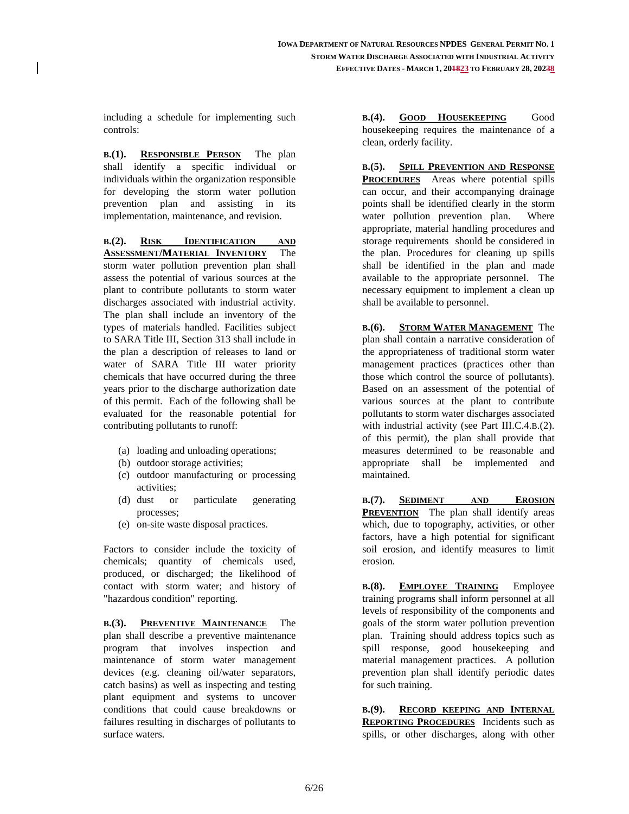including a schedule for implementing such controls:

**B.(1). RESPONSIBLE PERSON** The plan shall identify a specific individual or individuals within the organization responsible for developing the storm water pollution prevention plan and assisting in its implementation, maintenance, and revision.

**B.(2). RISK IDENTIFICATION AND ASSESSMENT/MATERIAL INVENTORY** The storm water pollution prevention plan shall assess the potential of various sources at the plant to contribute pollutants to storm water discharges associated with industrial activity. The plan shall include an inventory of the types of materials handled. Facilities subject to SARA Title III, Section 313 shall include in the plan a description of releases to land or water of SARA Title III water priority chemicals that have occurred during the three years prior to the discharge authorization date of this permit. Each of the following shall be evaluated for the reasonable potential for contributing pollutants to runoff:

- (a) loading and unloading operations;
- (b) outdoor storage activities;
- (c) outdoor manufacturing or processing activities;
- (d) dust or particulate generating processes;
- (e) on-site waste disposal practices.

Factors to consider include the toxicity of chemicals; quantity of chemicals used, produced, or discharged; the likelihood of contact with storm water; and history of "hazardous condition" reporting.

**B.(3). PREVENTIVE MAINTENANCE** The plan shall describe a preventive maintenance program that involves inspection and maintenance of storm water management devices (e.g. cleaning oil/water separators, catch basins) as well as inspecting and testing plant equipment and systems to uncover conditions that could cause breakdowns or failures resulting in discharges of pollutants to surface waters.

**B.(4). GOOD HOUSEKEEPING** Good housekeeping requires the maintenance of a clean, orderly facility.

**B.(5). SPILL PREVENTION AND RESPONSE PROCEDURES** Areas where potential spills can occur, and their accompanying drainage points shall be identified clearly in the storm water pollution prevention plan. Where appropriate, material handling procedures and storage requirements should be considered in the plan. Procedures for cleaning up spills shall be identified in the plan and made available to the appropriate personnel. The necessary equipment to implement a clean up shall be available to personnel.

**B.(6). STORM WATER MANAGEMENT** The plan shall contain a narrative consideration of the appropriateness of traditional storm water management practices (practices other than those which control the source of pollutants). Based on an assessment of the potential of various sources at the plant to contribute pollutants to storm water discharges associated with industrial activity (see Part III.C.4.B.(2). of this permit), the plan shall provide that measures determined to be reasonable and appropriate shall be implemented and maintained.

**B.(7). SEDIMENT AND EROSION PREVENTION** The plan shall identify areas which, due to topography, activities, or other factors, have a high potential for significant soil erosion, and identify measures to limit erosion.

**B.(8). EMPLOYEE TRAINING** Employee training programs shall inform personnel at all levels of responsibility of the components and goals of the storm water pollution prevention plan. Training should address topics such as spill response, good housekeeping and material management practices. A pollution prevention plan shall identify periodic dates for such training.

**B.(9). RECORD KEEPING AND INTERNAL REPORTING PROCEDURES** Incidents such as spills, or other discharges, along with other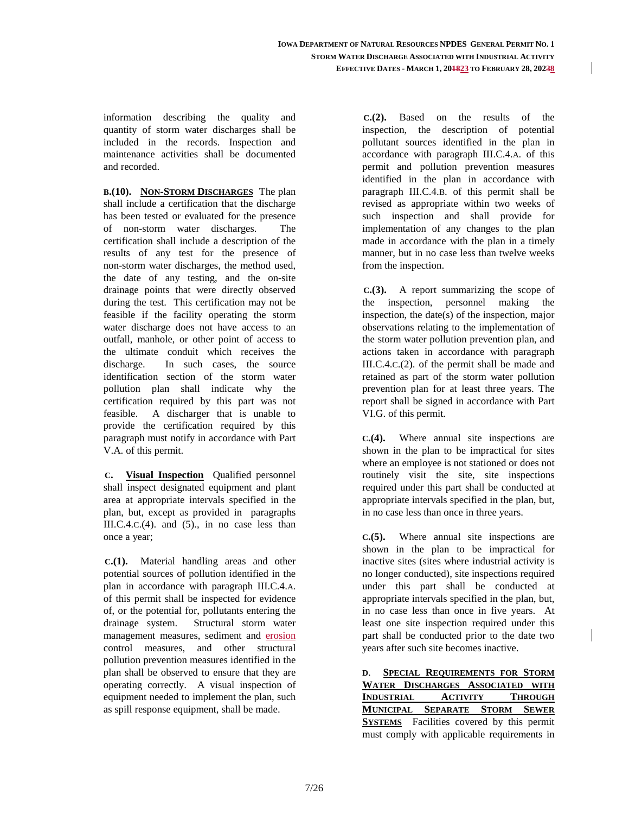information describing the quality and quantity of storm water discharges shall be included in the records. Inspection and maintenance activities shall be documented and recorded.

**B.(10). NON-STORM DISCHARGES** The plan shall include a certification that the discharge has been tested or evaluated for the presence of non-storm water discharges. The certification shall include a description of the results of any test for the presence of non-storm water discharges, the method used, the date of any testing, and the on-site drainage points that were directly observed during the test. This certification may not be feasible if the facility operating the storm water discharge does not have access to an outfall, manhole, or other point of access to the ultimate conduit which receives the discharge. In such cases, the source identification section of the storm water pollution plan shall indicate why the certification required by this part was not feasible. A discharger that is unable to provide the certification required by this paragraph must notify in accordance with Part V.A. of this permit.

 **C. Visual Inspection** Qualified personnel shall inspect designated equipment and plant area at appropriate intervals specified in the plan, but, except as provided in paragraphs III.C.4. $C$ .(4). and (5)., in no case less than once a year;

 **C.(1).** Material handling areas and other potential sources of pollution identified in the plan in accordance with paragraph III.C.4.A. of this permit shall be inspected for evidence of, or the potential for, pollutants entering the drainage system. Structural storm water management measures, sediment and erosion control measures, and other structural pollution prevention measures identified in the plan shall be observed to ensure that they are operating correctly. A visual inspection of equipment needed to implement the plan, such as spill response equipment, shall be made.

 **C.(2).** Based on the results of the inspection, the description of potential pollutant sources identified in the plan in accordance with paragraph III.C.4.A. of this permit and pollution prevention measures identified in the plan in accordance with paragraph III.C.4.B. of this permit shall be revised as appropriate within two weeks of such inspection and shall provide for implementation of any changes to the plan made in accordance with the plan in a timely manner, but in no case less than twelve weeks from the inspection.

 **C.(3).** A report summarizing the scope of the inspection, personnel making the inspection, the date(s) of the inspection, major observations relating to the implementation of the storm water pollution prevention plan, and actions taken in accordance with paragraph III.C.4.C.(2). of the permit shall be made and retained as part of the storm water pollution prevention plan for at least three years. The report shall be signed in accordance with Part VI.G. of this permit.

**C.(4).** Where annual site inspections are shown in the plan to be impractical for sites where an employee is not stationed or does not routinely visit the site, site inspections required under this part shall be conducted at appropriate intervals specified in the plan, but, in no case less than once in three years.

**C.(5).** Where annual site inspections are shown in the plan to be impractical for inactive sites (sites where industrial activity is no longer conducted), site inspections required under this part shall be conducted at appropriate intervals specified in the plan, but, in no case less than once in five years. At least one site inspection required under this part shall be conducted prior to the date two years after such site becomes inactive.

**D**. **SPECIAL REQUIREMENTS FOR STORM WATER DISCHARGES ASSOCIATED WITH INDUSTRIAL ACTIVITY THROUGH MUNICIPAL SEPARATE STORM SEWER SYSTEMS** Facilities covered by this permit must comply with applicable requirements in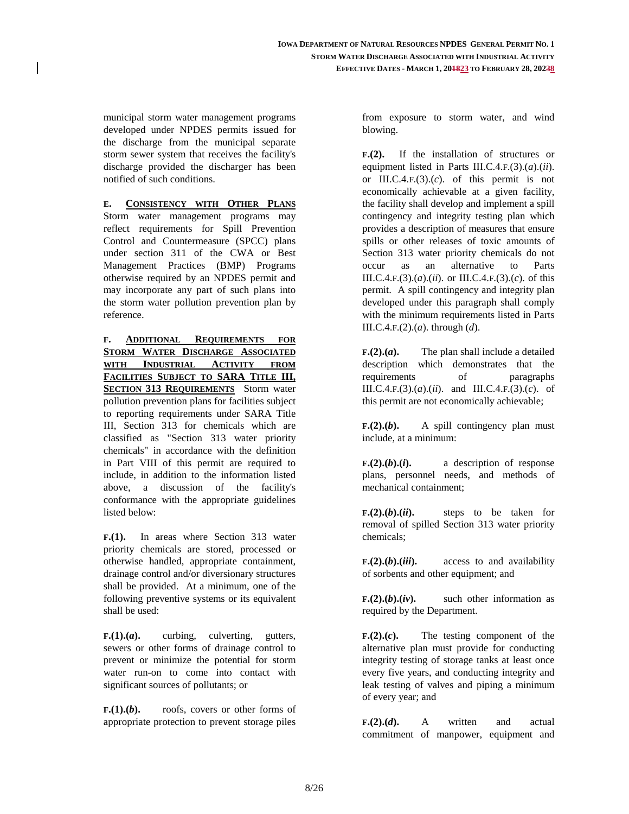municipal storm water management programs developed under NPDES permits issued for the discharge from the municipal separate storm sewer system that receives the facility's discharge provided the discharger has been notified of such conditions.

**E. CONSISTENCY WITH OTHER PLANS** Storm water management programs may reflect requirements for Spill Prevention Control and Countermeasure (SPCC) plans under section 311 of the CWA or Best Management Practices (BMP) Programs otherwise required by an NPDES permit and may incorporate any part of such plans into the storm water pollution prevention plan by reference.

**F. ADDITIONAL REQUIREMENTS FOR STORM WATER DISCHARGE ASSOCIATED WITH INDUSTRIAL ACTIVITY FROM FACILITIES SUBJECT TO SARA TITLE III, SECTION 313 REQUIREMENTS** Storm water pollution prevention plans for facilities subject to reporting requirements under SARA Title III, Section 313 for chemicals which are classified as "Section 313 water priority chemicals" in accordance with the definition in Part VIII of this permit are required to include, in addition to the information listed above, a discussion of the facility's conformance with the appropriate guidelines listed below:

**F.(1).** In areas where Section 313 water priority chemicals are stored, processed or otherwise handled, appropriate containment, drainage control and/or diversionary structures shall be provided. At a minimum, one of the following preventive systems or its equivalent shall be used:

**F.(1).(***a***).** curbing, culverting, gutters, sewers or other forms of drainage control to prevent or minimize the potential for storm water run-on to come into contact with significant sources of pollutants; or

**F.(1).(***b***).** roofs, covers or other forms of appropriate protection to prevent storage piles from exposure to storm water, and wind blowing.

**F.(2).** If the installation of structures or equipment listed in Parts III.C.4.F.(3).(*a*).(*ii*). or III.C.4.F.(3).(*c*). of this permit is not economically achievable at a given facility, the facility shall develop and implement a spill contingency and integrity testing plan which provides a description of measures that ensure spills or other releases of toxic amounts of Section 313 water priority chemicals do not occur as an alternative to Parts III.C.4.F.(3).(*a*).(*ii*). or III.C.4.F.(3).(*c*). of this permit. A spill contingency and integrity plan developed under this paragraph shall comply with the minimum requirements listed in Parts III.C.4.F.(2).(*a*). through (*d*).

 $F(2)(a)$ . The plan shall include a detailed description which demonstrates that the requirements of paragraphs III.C.4.F.(3).(*a*).(*ii*). and III.C.4.F.(3).(*c*). of this permit are not economically achievable;

 $F(2)(b)$ . A spill contingency plan must include, at a minimum:

 $F(2)(b)(i)$ . a description of response plans, personnel needs, and methods of mechanical containment;

 $F(2)(b)(ii)$ . steps to be taken for removal of spilled Section 313 water priority chemicals;

 $F(2)(b)(iii)$ . access to and availability of sorbents and other equipment; and

 $F(2)$ . $(b)$ . $(iv)$ . such other information as required by the Department.

 $F(2)(c)$ . The testing component of the alternative plan must provide for conducting integrity testing of storage tanks at least once every five years, and conducting integrity and leak testing of valves and piping a minimum of every year; and

**F.(2).(***d***).** A written and actual commitment of manpower, equipment and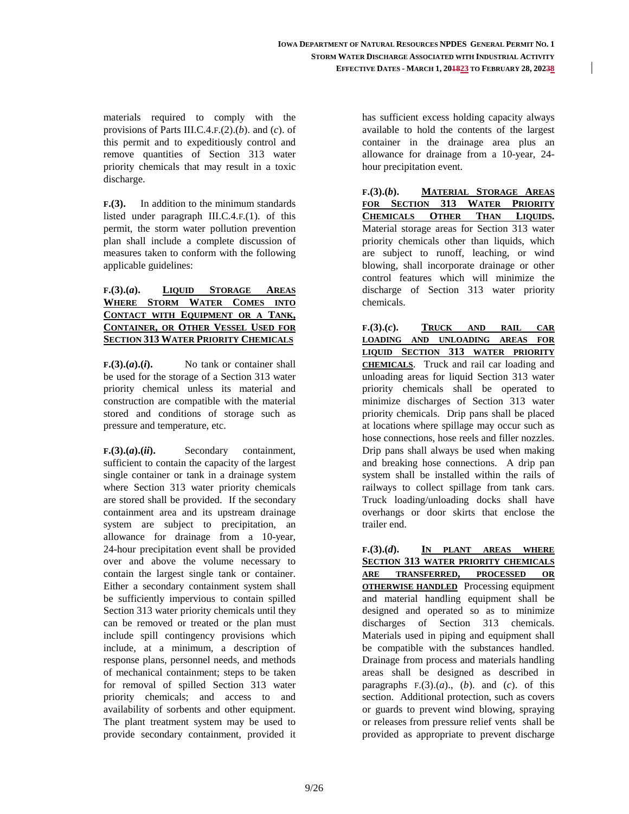materials required to comply with the provisions of Parts III.C.4.F.(2).(*b*). and (*c*). of this permit and to expeditiously control and remove quantities of Section 313 water priority chemicals that may result in a toxic discharge.

**F.(3).** In addition to the minimum standards listed under paragraph III.C.4.F.(1). of this permit, the storm water pollution prevention plan shall include a complete discussion of measures taken to conform with the following applicable guidelines:

# **F.(3).(***a***). LIQUID STORAGE AREAS WHERE STORM WATER COMES INTO CONTACT WITH EQUIPMENT OR A TANK, CONTAINER, OR OTHER VESSEL USED FOR SECTION 313 WATER PRIORITY CHEMICALS**

 $F(3)(a)(i)$ . No tank or container shall be used for the storage of a Section 313 water priority chemical unless its material and construction are compatible with the material stored and conditions of storage such as pressure and temperature, etc.

**F.(3).(***a***).(***ii***).** Secondary containment, sufficient to contain the capacity of the largest single container or tank in a drainage system where Section 313 water priority chemicals are stored shall be provided. If the secondary containment area and its upstream drainage system are subject to precipitation, an allowance for drainage from a 10-year, 24-hour precipitation event shall be provided over and above the volume necessary to contain the largest single tank or container. Either a secondary containment system shall be sufficiently impervious to contain spilled Section 313 water priority chemicals until they can be removed or treated or the plan must include spill contingency provisions which include, at a minimum, a description of response plans, personnel needs, and methods of mechanical containment; steps to be taken for removal of spilled Section 313 water priority chemicals; and access to and availability of sorbents and other equipment. The plant treatment system may be used to provide secondary containment, provided it

has sufficient excess holding capacity always available to hold the contents of the largest container in the drainage area plus an allowance for drainage from a 10-year, 24 hour precipitation event.

**F.(3).(***b***). MATERIAL STORAGE AREAS FOR SECTION 313 WATER PRIORITY CHEMICALS OTHER THAN LIQUIDS.** Material storage areas for Section 313 water priority chemicals other than liquids, which are subject to runoff, leaching, or wind blowing, shall incorporate drainage or other control features which will minimize the discharge of Section 313 water priority chemicals.

**F.(3).(***c***). TRUCK AND RAIL CAR LOADING AND UNLOADING AREAS FOR LIQUID SECTION 313 WATER PRIORITY CHEMICALS**. Truck and rail car loading and unloading areas for liquid Section 313 water priority chemicals shall be operated to minimize discharges of Section 313 water priority chemicals. Drip pans shall be placed at locations where spillage may occur such as hose connections, hose reels and filler nozzles. Drip pans shall always be used when making and breaking hose connections. A drip pan system shall be installed within the rails of railways to collect spillage from tank cars. Truck loading/unloading docks shall have overhangs or door skirts that enclose the trailer end.

**F.(3).(***d***). IN PLANT AREAS WHERE SECTION 313 WATER PRIORITY CHEMICALS ARE TRANSFERRED, PROCESSED OR OTHERWISE HANDLED** Processing equipment and material handling equipment shall be designed and operated so as to minimize discharges of Section 313 chemicals. Materials used in piping and equipment shall be compatible with the substances handled. Drainage from process and materials handling areas shall be designed as described in paragraphs  $F(3)(a)$ ,  $(b)$ . and  $(c)$ . of this section. Additional protection, such as covers or guards to prevent wind blowing, spraying or releases from pressure relief vents shall be provided as appropriate to prevent discharge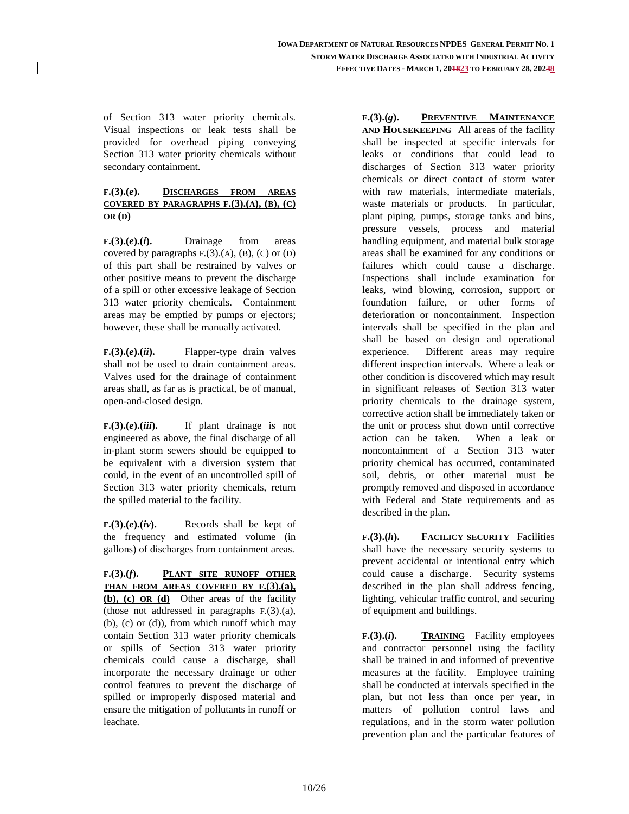of Section 313 water priority chemicals. Visual inspections or leak tests shall be provided for overhead piping conveying Section 313 water priority chemicals without secondary containment.

# **F.(3).(***e***). DISCHARGES FROM AREAS COVERED BY PARAGRAPHS F.(3).(A), (B), (C) OR (D)**

 $F(3)(e)(i)$ . Drainage from areas covered by paragraphs  $F(3)$ .(A), (B), (C) or (D) of this part shall be restrained by valves or other positive means to prevent the discharge of a spill or other excessive leakage of Section 313 water priority chemicals. Containment areas may be emptied by pumps or ejectors; however, these shall be manually activated.

**F.(3).(***e***).(***ii***).** Flapper-type drain valves shall not be used to drain containment areas. Valves used for the drainage of containment areas shall, as far as is practical, be of manual, open-and-closed design.

 $F(3)(e)(iii)$ . If plant drainage is not engineered as above, the final discharge of all in-plant storm sewers should be equipped to be equivalent with a diversion system that could, in the event of an uncontrolled spill of Section 313 water priority chemicals, return the spilled material to the facility.

 $F(3)(e)(iv)$ . Records shall be kept of the frequency and estimated volume (in gallons) of discharges from containment areas.

**F.(3).(***f***). PLANT SITE RUNOFF OTHER THAN FROM AREAS COVERED BY F.(3).(a), (b), (c) OR (d)** Other areas of the facility (those not addressed in paragraphs F.(3).(a), (b), (c) or (d)), from which runoff which may contain Section 313 water priority chemicals or spills of Section 313 water priority chemicals could cause a discharge, shall incorporate the necessary drainage or other control features to prevent the discharge of spilled or improperly disposed material and ensure the mitigation of pollutants in runoff or leachate.

**F.(3).(***g***). PREVENTIVE MAINTENANCE AND HOUSEKEEPING** All areas of the facility shall be inspected at specific intervals for leaks or conditions that could lead to discharges of Section 313 water priority chemicals or direct contact of storm water with raw materials, intermediate materials, waste materials or products. In particular, plant piping, pumps, storage tanks and bins, pressure vessels, process and material handling equipment, and material bulk storage areas shall be examined for any conditions or failures which could cause a discharge. Inspections shall include examination for leaks, wind blowing, corrosion, support or foundation failure, or other forms of deterioration or noncontainment. Inspection intervals shall be specified in the plan and shall be based on design and operational experience. Different areas may require different inspection intervals. Where a leak or other condition is discovered which may result in significant releases of Section 313 water priority chemicals to the drainage system, corrective action shall be immediately taken or the unit or process shut down until corrective action can be taken. When a leak or noncontainment of a Section 313 water priority chemical has occurred, contaminated soil, debris, or other material must be promptly removed and disposed in accordance with Federal and State requirements and as described in the plan.

**F.(3).(***h***). FACILICY SECURITY** Facilities shall have the necessary security systems to prevent accidental or intentional entry which could cause a discharge. Security systems described in the plan shall address fencing, lighting, vehicular traffic control, and securing of equipment and buildings.

**F.(3).(***i***). TRAINING** Facility employees and contractor personnel using the facility shall be trained in and informed of preventive measures at the facility. Employee training shall be conducted at intervals specified in the plan, but not less than once per year, in matters of pollution control laws and regulations, and in the storm water pollution prevention plan and the particular features of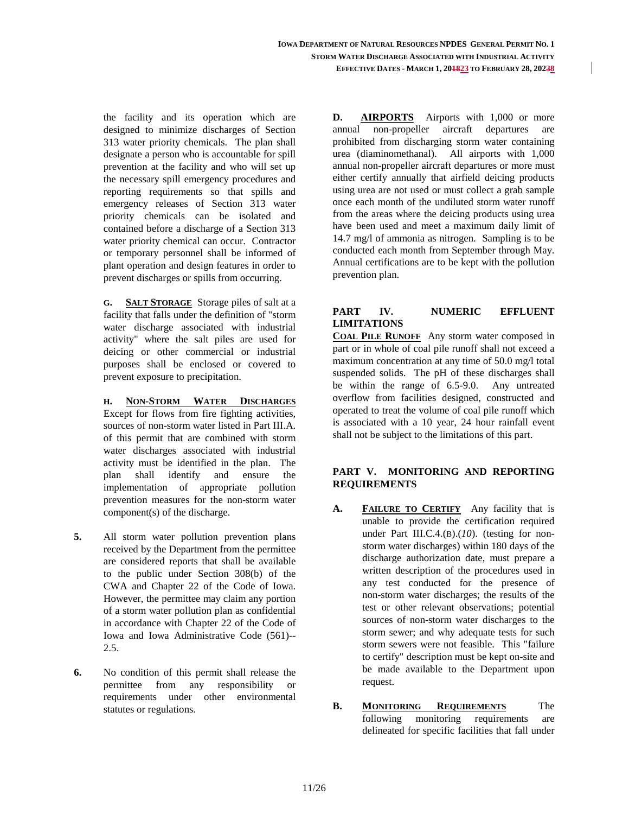the facility and its operation which are designed to minimize discharges of Section 313 water priority chemicals. The plan shall designate a person who is accountable for spill prevention at the facility and who will set up the necessary spill emergency procedures and reporting requirements so that spills and emergency releases of Section 313 water priority chemicals can be isolated and contained before a discharge of a Section 313 water priority chemical can occur. Contractor or temporary personnel shall be informed of plant operation and design features in order to prevent discharges or spills from occurring.

**G. SALT STORAGE** Storage piles of salt at a facility that falls under the definition of "storm water discharge associated with industrial activity" where the salt piles are used for deicing or other commercial or industrial purposes shall be enclosed or covered to prevent exposure to precipitation.

**H. NON-STORM WATER DISCHARGES** Except for flows from fire fighting activities, sources of non-storm water listed in Part III.A. of this permit that are combined with storm water discharges associated with industrial activity must be identified in the plan. The plan shall identify and ensure the implementation of appropriate pollution prevention measures for the non-storm water component(s) of the discharge.

- **5.** All storm water pollution prevention plans received by the Department from the permittee are considered reports that shall be available to the public under Section 308(b) of the CWA and Chapter 22 of the Code of Iowa. However, the permittee may claim any portion of a storm water pollution plan as confidential in accordance with Chapter 22 of the Code of Iowa and Iowa Administrative Code (561)-- 2.5.
- **6.** No condition of this permit shall release the permittee from any responsibility or requirements under other environmental statutes or regulations.

**D. AIRPORTS** Airports with 1,000 or more annual non-propeller aircraft departures are prohibited from discharging storm water containing urea (diaminomethanal). All airports with 1,000 annual non-propeller aircraft departures or more must either certify annually that airfield deicing products using urea are not used or must collect a grab sample once each month of the undiluted storm water runoff from the areas where the deicing products using urea have been used and meet a maximum daily limit of 14.7 mg/l of ammonia as nitrogen. Sampling is to be conducted each month from September through May. Annual certifications are to be kept with the pollution prevention plan.

# **PART IV. NUMERIC EFFLUENT LIMITATIONS**

**COAL PILE RUNOFF** Any storm water composed in part or in whole of coal pile runoff shall not exceed a maximum concentration at any time of 50.0 mg/l total suspended solids. The pH of these discharges shall be within the range of 6.5-9.0. Any untreated overflow from facilities designed, constructed and operated to treat the volume of coal pile runoff which is associated with a 10 year, 24 hour rainfall event shall not be subject to the limitations of this part.

# **PART V. MONITORING AND REPORTING REQUIREMENTS**

- **A. FAILURE TO CERTIFY** Any facility that is unable to provide the certification required under Part III.C.4.(B).(*10*). (testing for nonstorm water discharges) within 180 days of the discharge authorization date, must prepare a written description of the procedures used in any test conducted for the presence of non-storm water discharges; the results of the test or other relevant observations; potential sources of non-storm water discharges to the storm sewer; and why adequate tests for such storm sewers were not feasible. This "failure to certify" description must be kept on-site and be made available to the Department upon request.
- **B. MONITORING REQUIREMENTS** The following monitoring requirements are delineated for specific facilities that fall under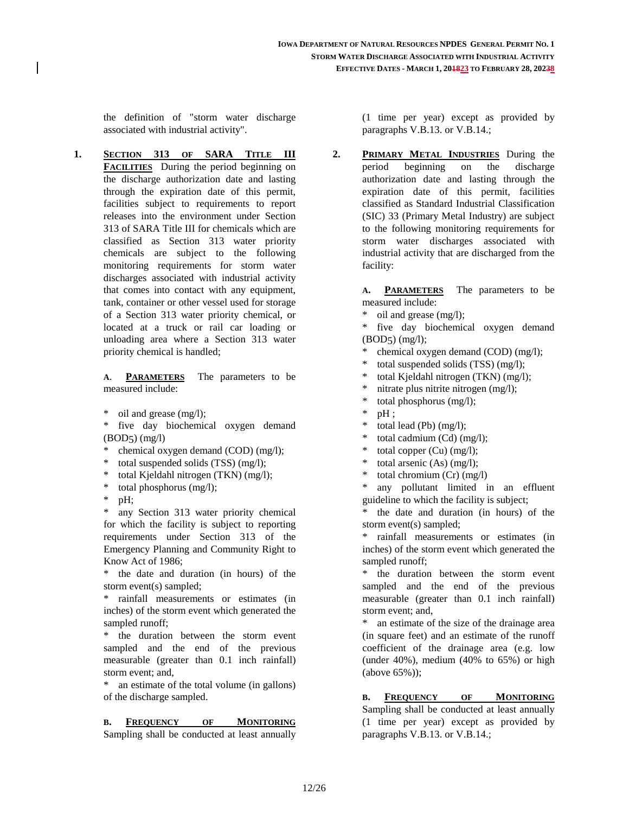the definition of "storm water discharge associated with industrial activity".

**1. SECTION 313 OF SARA TITLE III FACILITIES** During the period beginning on the discharge authorization date and lasting through the expiration date of this permit, facilities subject to requirements to report releases into the environment under Section 313 of SARA Title III for chemicals which are classified as Section 313 water priority chemicals are subject to the following monitoring requirements for storm water discharges associated with industrial activity that comes into contact with any equipment, tank, container or other vessel used for storage of a Section 313 water priority chemical, or located at a truck or rail car loading or unloading area where a Section 313 water priority chemical is handled;

> **A**. **PARAMETERS** The parameters to be measured include:

\* oil and grease (mg/l);

 \* five day biochemical oxygen demand (BOD5) (mg/l)

- chemical oxygen demand (COD) (mg/l);
- total suspended solids (TSS) (mg/l);
- total Kjeldahl nitrogen (TKN) (mg/l);
- \* total phosphorus (mg/l);
- \* pH;

 \* any Section 313 water priority chemical for which the facility is subject to reporting requirements under Section 313 of the Emergency Planning and Community Right to Know Act of 1986;

the date and duration (in hours) of the storm event(s) sampled;

 \* rainfall measurements or estimates (in inches) of the storm event which generated the sampled runoff;

the duration between the storm event sampled and the end of the previous measurable (greater than 0.1 inch rainfall) storm event; and,

 \* an estimate of the total volume (in gallons) of the discharge sampled.

# **B. FREQUENCY OF MONITORING**

Sampling shall be conducted at least annually

(1 time per year) except as provided by paragraphs V.B.13. or V.B.14.;

**2. PRIMARY METAL INDUSTRIES** During the period beginning on the discharge authorization date and lasting through the expiration date of this permit, facilities classified as Standard Industrial Classification (SIC) 33 (Primary Metal Industry) are subject to the following monitoring requirements for storm water discharges associated with industrial activity that are discharged from the facility:

> **A. PARAMETERS** The parameters to be measured include:

oil and grease  $(mg/l);$ 

 \* five day biochemical oxygen demand (BOD5) (mg/l);

- chemical oxygen demand (COD) (mg/l);
- total suspended solids (TSS) (mg/l);
- \* total Kjeldahl nitrogen (TKN) (mg/l);
- nitrate plus nitrite nitrogen (mg/l);
- \* total phosphorus (mg/l);
- $*$  pH;
- \* total lead (Pb) (mg/l);
- total cadmium  $(Cd)$  (mg/l);
- \* total copper (Cu) (mg/l);
- \* total arsenic (As) (mg/l);
- \* total chromium (Cr) (mg/l)

 \* any pollutant limited in an effluent guideline to which the facility is subject;

 \* the date and duration (in hours) of the storm event(s) sampled;

rainfall measurements or estimates (in inches) of the storm event which generated the sampled runoff;

 \* the duration between the storm event sampled and the end of the previous measurable (greater than 0.1 inch rainfall) storm event; and,

 \* an estimate of the size of the drainage area (in square feet) and an estimate of the runoff coefficient of the drainage area (e.g. low (under 40%), medium (40% to 65%) or high (above 65%));

**B. FREQUENCY OF MONITORING**  Sampling shall be conducted at least annually (1 time per year) except as provided by paragraphs V.B.13. or V.B.14.;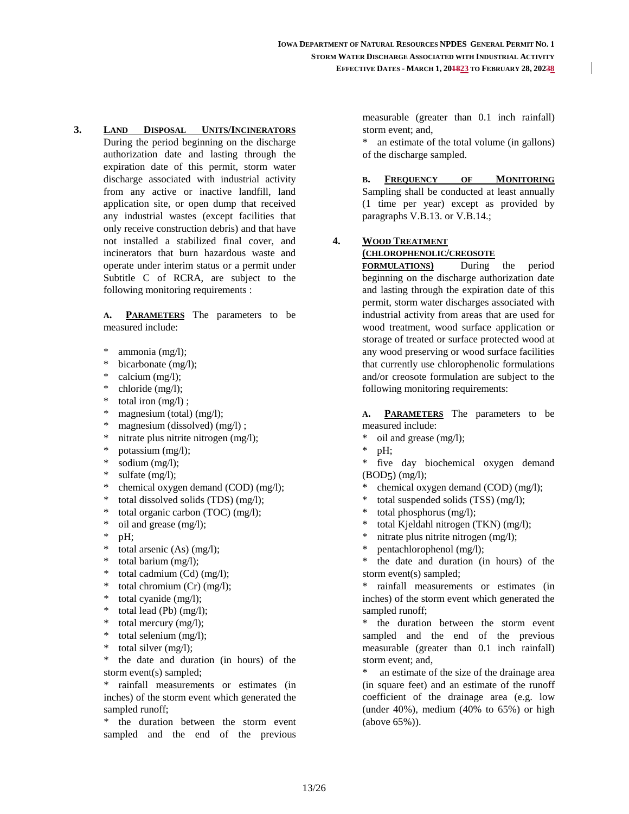**3. LAND DISPOSAL UNITS/INCINERATORS** During the period beginning on the discharge authorization date and lasting through the expiration date of this permit, storm water discharge associated with industrial activity from any active or inactive landfill, land application site, or open dump that received any industrial wastes (except facilities that only receive construction debris) and that have not installed a stabilized final cover, and incinerators that burn hazardous waste and operate under interim status or a permit under Subtitle C of RCRA, are subject to the following monitoring requirements :

> **A. PARAMETERS** The parameters to be measured include:

- ammonia  $(mg/l)$ ;
- \* bicarbonate (mg/l);
- calcium  $(mg/l)$ ;
- $chloride (mg/l);$
- \* total iron (mg/l) ;
- magnesium (total) (mg/l);
- $magnesium$  (dissolved)  $(mg/l)$ ;
- nitrate plus nitrite nitrogen (mg/l);
- potassium (mg/l);
- sodium  $(mg/l);$
- \* sulfate (mg/l);
- \* chemical oxygen demand (COD) (mg/l);
- total dissolved solids  $(TDS)$  (mg/l);
- total organic carbon (TOC) (mg/l);
- oil and grease (mg/l);
- pH;
- total arsenic  $(As)$  (mg/l);
- total barium  $(mg/l)$ ;
- total cadmium  $(Cd)$  (mg/l);
- total chromium (Cr) (mg/l);
- total cyanide (mg/l);
- total lead (Pb)  $(mg/l);$
- total mercury  $(mg/l)$ ;
- total selenium  $(mg/l);$
- \* total silver (mg/l);

 \* the date and duration (in hours) of the storm event(s) sampled;

rainfall measurements or estimates (in inches) of the storm event which generated the sampled runoff;

the duration between the storm event sampled and the end of the previous measurable (greater than 0.1 inch rainfall) storm event; and,

 \* an estimate of the total volume (in gallons) of the discharge sampled.

**B. FREQUENCY OF MONITORING** Sampling shall be conducted at least annually (1 time per year) except as provided by paragraphs V.B.13. or V.B.14.;

#### **4. WOOD TREATMENT**

 **(CHLOROPHENOLIC/CREOSOTE** 

**FORMULATIONS)** During the period beginning on the discharge authorization date and lasting through the expiration date of this permit, storm water discharges associated with industrial activity from areas that are used for wood treatment, wood surface application or storage of treated or surface protected wood at any wood preserving or wood surface facilities that currently use chlorophenolic formulations and/or creosote formulation are subject to the following monitoring requirements:

**A. PARAMETERS** The parameters to be measured include:

- oil and grease (mg/l);
- pH;

 \* five day biochemical oxygen demand (BOD5) (mg/l);

- chemical oxygen demand  $(COD)$  (mg/l);
- \* total suspended solids (TSS) (mg/l);
- \* total phosphorus (mg/l);
- total Kjeldahl nitrogen (TKN) (mg/l);
- \* nitrate plus nitrite nitrogen (mg/l);
- pentachlorophenol (mg/l);

 \* the date and duration (in hours) of the storm event(s) sampled;

rainfall measurements or estimates (in inches) of the storm event which generated the sampled runoff;

 \* the duration between the storm event sampled and the end of the previous measurable (greater than 0.1 inch rainfall) storm event; and,

an estimate of the size of the drainage area (in square feet) and an estimate of the runoff coefficient of the drainage area (e.g. low (under 40%), medium (40% to 65%) or high (above 65%)).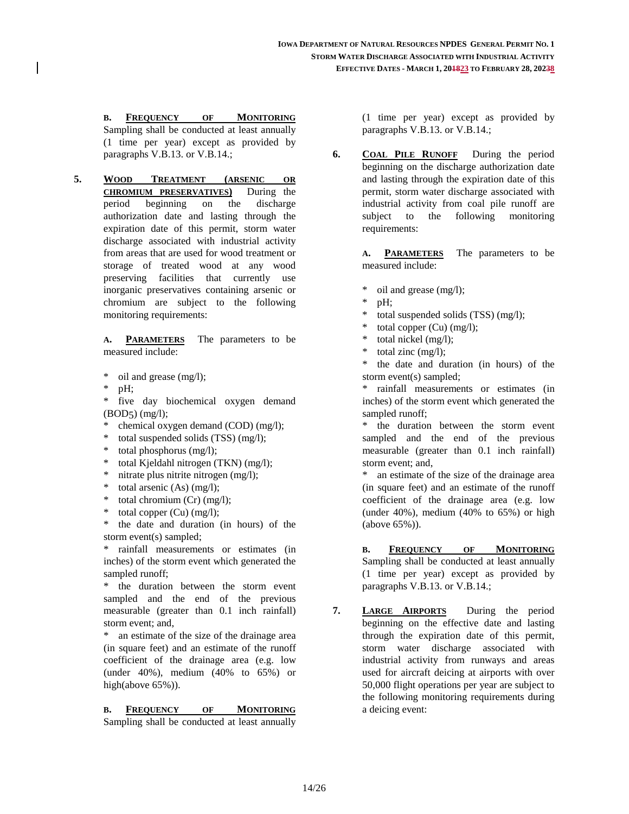B. **FREQUENCY OF MONITORING** Sampling shall be conducted at least annually (1 time per year) except as provided by paragraphs V.B.13. or V.B.14.;

**5. WOOD TREATMENT (ARSENIC OR CHROMIUM PRESERVATIVES)** During the period beginning on the discharge authorization date and lasting through the expiration date of this permit, storm water discharge associated with industrial activity from areas that are used for wood treatment or storage of treated wood at any wood preserving facilities that currently use inorganic preservatives containing arsenic or chromium are subject to the following monitoring requirements:

> **A. PARAMETERS** The parameters to be measured include:

- \* oil and grease (mg/l);
- $pH$ :

 \* five day biochemical oxygen demand (BOD5) (mg/l);

- chemical oxygen demand (COD) (mg/l);
- total suspended solids (TSS) (mg/l);
- total phosphorus  $(mg/l);$
- total Kjeldahl nitrogen (TKN) (mg/l);
- \* nitrate plus nitrite nitrogen (mg/l);
- \* total arsenic (As) (mg/l);
- total chromium  $(Cr)$  (mg/l);
- total copper  $(Cu)$  (mg/l);

 \* the date and duration (in hours) of the storm event(s) sampled;

rainfall measurements or estimates (in inches) of the storm event which generated the sampled runoff;

the duration between the storm event sampled and the end of the previous measurable (greater than 0.1 inch rainfall) storm event; and,

an estimate of the size of the drainage area (in square feet) and an estimate of the runoff coefficient of the drainage area (e.g. low (under 40%), medium (40% to 65%) or high(above 65%)).

**B. FREQUENCY OF MONITORING**

Sampling shall be conducted at least annually

(1 time per year) except as provided by paragraphs V.B.13. or V.B.14.;

**6. COAL PILE RUNOFF** During the period beginning on the discharge authorization date and lasting through the expiration date of this permit, storm water discharge associated with industrial activity from coal pile runoff are subject to the following monitoring requirements:

> **A. PARAMETERS** The parameters to be measured include:

- \* oil and grease (mg/l);
- $pH$ ;
- \* total suspended solids (TSS) (mg/l);
- \* total copper (Cu) (mg/l);
- \* total nickel (mg/l);
- \* total zinc (mg/l);

the date and duration (in hours) of the storm event(s) sampled;

 \* rainfall measurements or estimates (in inches) of the storm event which generated the sampled runoff;

 \* the duration between the storm event sampled and the end of the previous measurable (greater than 0.1 inch rainfall) storm event; and,

 \* an estimate of the size of the drainage area (in square feet) and an estimate of the runoff coefficient of the drainage area (e.g. low (under  $40\%$ ), medium  $(40\%$  to  $65\%)$  or high (above 65%)).

**B. FREQUENCY OF MONITORING** Sampling shall be conducted at least annually (1 time per year) except as provided by paragraphs V.B.13. or V.B.14.;

**7. LARGE AIRPORTS** During the period beginning on the effective date and lasting through the expiration date of this permit, storm water discharge associated with industrial activity from runways and areas used for aircraft deicing at airports with over 50,000 flight operations per year are subject to the following monitoring requirements during a deicing event: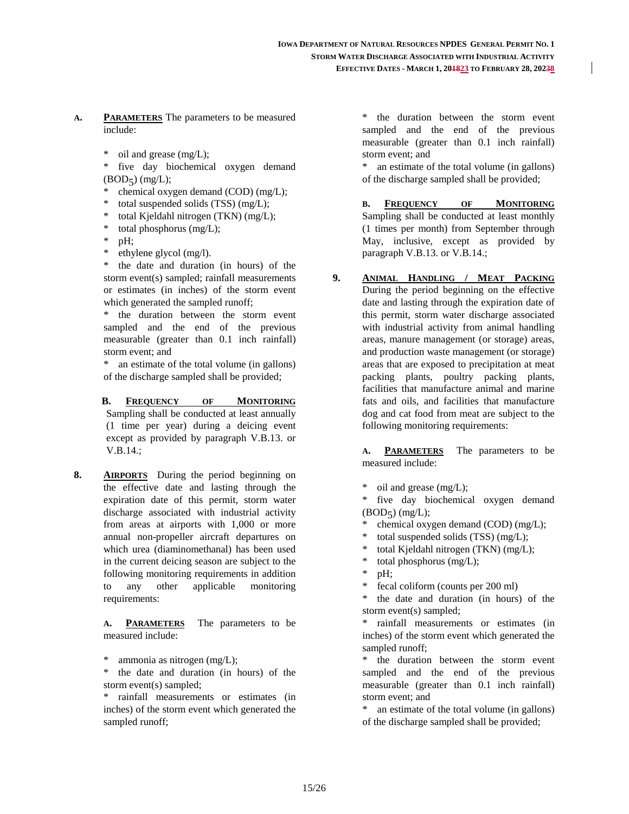# **A. PARAMETERS** The parameters to be measured include:

- \* oil and grease (mg/L);
- \* five day biochemical oxygen demand  $(BOD<sub>5</sub>) (mg/L);$
- chemical oxygen demand (COD) (mg/L);
- total suspended solids (TSS) (mg/L);
- \* total Kjeldahl nitrogen (TKN) (mg/L);
- total phosphorus  $(mg/L);$
- \* pH;
- ethylene glycol (mg/l).

 \* the date and duration (in hours) of the storm event(s) sampled; rainfall measurements or estimates (in inches) of the storm event which generated the sampled runoff;

 \* the duration between the storm event sampled and the end of the previous measurable (greater than 0.1 inch rainfall) storm event; and

an estimate of the total volume (in gallons) of the discharge sampled shall be provided;

- **B. FREQUENCY OF MONITORING** Sampling shall be conducted at least annually (1 time per year) during a deicing event except as provided by paragraph V.B.13. or V.B.14.;
- **8. AIRPORTS** During the period beginning on the effective date and lasting through the expiration date of this permit, storm water discharge associated with industrial activity from areas at airports with 1,000 or more annual non-propeller aircraft departures on which urea (diaminomethanal) has been used in the current deicing season are subject to the following monitoring requirements in addition to any other applicable monitoring requirements:

**A. PARAMETERS** The parameters to be measured include:

ammonia as nitrogen (mg/L);

the date and duration (in hours) of the storm event(s) sampled;

 \* rainfall measurements or estimates (in inches) of the storm event which generated the sampled runoff;

 \* the duration between the storm event sampled and the end of the previous measurable (greater than 0.1 inch rainfall) storm event; and

 \* an estimate of the total volume (in gallons) of the discharge sampled shall be provided;

**B. FREQUENCY OF MONITORING** Sampling shall be conducted at least monthly (1 times per month) from September through May, inclusive, except as provided by paragraph V.B.13. or V.B.14.;

**9. ANIMAL HANDLING / MEAT PACKING** During the period beginning on the effective date and lasting through the expiration date of this permit, storm water discharge associated with industrial activity from animal handling areas, manure management (or storage) areas, and production waste management (or storage) areas that are exposed to precipitation at meat packing plants, poultry packing plants, facilities that manufacture animal and marine fats and oils, and facilities that manufacture dog and cat food from meat are subject to the following monitoring requirements:

> **A. PARAMETERS** The parameters to be measured include:

\* oil and grease (mg/L);

 \* five day biochemical oxygen demand  $(BOD<sub>5</sub>)$  (mg/L);

chemical oxygen demand (COD) (mg/L);

- total suspended solids (TSS) (mg/L);
- total Kjeldahl nitrogen (TKN) (mg/L);
- \* total phosphorus (mg/L);
- \* pH;
- \* fecal coliform (counts per 200 ml)

 \* the date and duration (in hours) of the storm event(s) sampled;

 \* rainfall measurements or estimates (in inches) of the storm event which generated the sampled runoff;

 \* the duration between the storm event sampled and the end of the previous measurable (greater than 0.1 inch rainfall) storm event; and

 \* an estimate of the total volume (in gallons) of the discharge sampled shall be provided;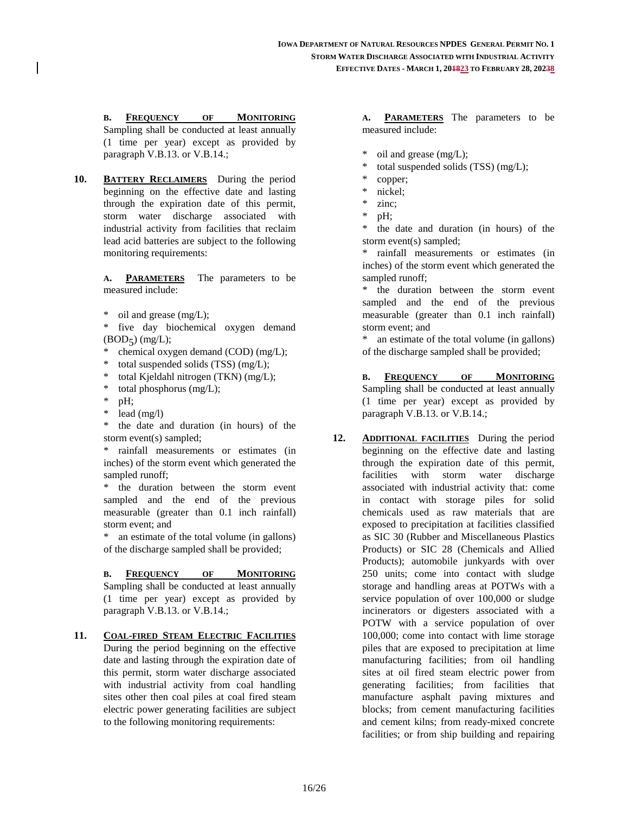**B. FREQUENCY OF MONITORING** Sampling shall be conducted at least annually (1 time per year) except as provided by paragraph V.B.13. or V.B.14.;

10. **BATTERY RECLAIMERS** During the period beginning on the effective date and lasting through the expiration date of this permit, storm water discharge associated with industrial activity from facilities that reclaim lead acid batteries are subject to the following monitoring requirements:

> **A. PARAMETERS** The parameters to be measured include:

oil and grease (mg/L);

five day biochemical oxygen demand  $(BOD<sub>5</sub>) (mg/L);$ 

- chemical oxygen demand  $(COD)$  (mg/L);
- total suspended solids  $(TSS)$  (mg/L);
- total Kjeldahl nitrogen (TKN)  $(mg/L);$
- \* total phosphorus (mg/L);
- \* pH;
- $lead$  (mg/l)

 \* the date and duration (in hours) of the storm event(s) sampled;

rainfall measurements or estimates (in inches) of the storm event which generated the sampled runoff;

 \* the duration between the storm event sampled and the end of the previous measurable (greater than 0.1 inch rainfall) storm event; and

an estimate of the total volume (in gallons) of the discharge sampled shall be provided;

**B. FREQUENCY OF MONITORING** Sampling shall be conducted at least annually (1 time per year) except as provided by paragraph V.B.13. or V.B.14.;

**11. COAL-FIRED STEAM ELECTRIC FACILITIES** During the period beginning on the effective date and lasting through the expiration date of this permit, storm water discharge associated with industrial activity from coal handling sites other then coal piles at coal fired steam electric power generating facilities are subject to the following monitoring requirements:

**A. PARAMETERS** The parameters to be measured include:

- \* oil and grease (mg/L);
- total suspended solids (TSS) (mg/L);
- \* copper;
- \* nickel;
- \* zinc;
- \* pH;

 \* the date and duration (in hours) of the storm event(s) sampled;

 \* rainfall measurements or estimates (in inches) of the storm event which generated the sampled runoff;

 \* the duration between the storm event sampled and the end of the previous measurable (greater than 0.1 inch rainfall) storm event; and

 \* an estimate of the total volume (in gallons) of the discharge sampled shall be provided;

**B. FREQUENCY OF MONITORING**  Sampling shall be conducted at least annually (1 time per year) except as provided by paragraph V.B.13. or V.B.14.;

**12. ADDITIONAL FACILITIES** During the period beginning on the effective date and lasting through the expiration date of this permit, facilities with storm water discharge associated with industrial activity that: come in contact with storage piles for solid chemicals used as raw materials that are exposed to precipitation at facilities classified as SIC 30 (Rubber and Miscellaneous Plastics Products) or SIC 28 (Chemicals and Allied Products); automobile junkyards with over 250 units; come into contact with sludge storage and handling areas at POTWs with a service population of over 100,000 or sludge incinerators or digesters associated with a POTW with a service population of over 100,000; come into contact with lime storage piles that are exposed to precipitation at lime manufacturing facilities; from oil handling sites at oil fired steam electric power from generating facilities; from facilities that manufacture asphalt paving mixtures and blocks; from cement manufacturing facilities and cement kilns; from ready-mixed concrete facilities; or from ship building and repairing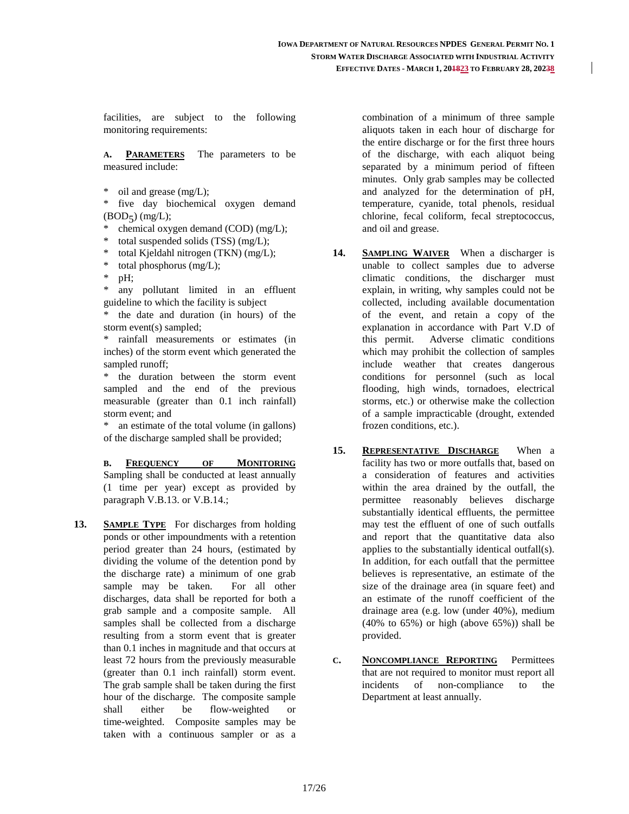facilities, are subject to the following monitoring requirements:

**A. PARAMETERS** The parameters to be measured include:

oil and grease  $(mg/L);$ 

five day biochemical oxygen demand  $(BOD<sub>5</sub>)$  (mg/L);

- chemical oxygen demand  $(COD)$  (mg/L);
- \* total suspended solids (TSS) (mg/L);
- total Kjeldahl nitrogen (TKN) (mg/L);
- total phosphorus  $(mg/L);$
- pH;

 \* any pollutant limited in an effluent guideline to which the facility is subject

the date and duration (in hours) of the storm event(s) sampled;

 \* rainfall measurements or estimates (in inches) of the storm event which generated the sampled runoff;

 \* the duration between the storm event sampled and the end of the previous measurable (greater than 0.1 inch rainfall) storm event; and

 \* an estimate of the total volume (in gallons) of the discharge sampled shall be provided;

**B. FREQUENCY OF MONITORING**  Sampling shall be conducted at least annually (1 time per year) except as provided by paragraph V.B.13. or V.B.14.;

13. SAMPLE TYPE For discharges from holding ponds or other impoundments with a retention period greater than 24 hours, (estimated by dividing the volume of the detention pond by the discharge rate) a minimum of one grab sample may be taken. For all other discharges, data shall be reported for both a grab sample and a composite sample. All samples shall be collected from a discharge resulting from a storm event that is greater than 0.1 inches in magnitude and that occurs at least 72 hours from the previously measurable (greater than 0.1 inch rainfall) storm event. The grab sample shall be taken during the first hour of the discharge. The composite sample shall either be flow-weighted or time-weighted. Composite samples may be taken with a continuous sampler or as a combination of a minimum of three sample aliquots taken in each hour of discharge for the entire discharge or for the first three hours of the discharge, with each aliquot being separated by a minimum period of fifteen minutes. Only grab samples may be collected and analyzed for the determination of pH, temperature, cyanide, total phenols, residual chlorine, fecal coliform, fecal streptococcus, and oil and grease.

- 14. **SAMPLING WAIVER** When a discharger is unable to collect samples due to adverse climatic conditions, the discharger must explain, in writing, why samples could not be collected, including available documentation of the event, and retain a copy of the explanation in accordance with Part V.D of this permit. Adverse climatic conditions which may prohibit the collection of samples include weather that creates dangerous conditions for personnel (such as local flooding, high winds, tornadoes, electrical storms, etc.) or otherwise make the collection of a sample impracticable (drought, extended frozen conditions, etc.).
- **15. REPRESENTATIVE DISCHARGE** When a facility has two or more outfalls that, based on a consideration of features and activities within the area drained by the outfall, the permittee reasonably believes discharge substantially identical effluents, the permittee may test the effluent of one of such outfalls and report that the quantitative data also applies to the substantially identical outfall(s). In addition, for each outfall that the permittee believes is representative, an estimate of the size of the drainage area (in square feet) and an estimate of the runoff coefficient of the drainage area (e.g. low (under 40%), medium  $(40\%$  to  $65\%)$  or high (above  $65\%)$ ) shall be provided.
- **C. NONCOMPLIANCE REPORTING** Permittees that are not required to monitor must report all incidents of non-compliance to the Department at least annually.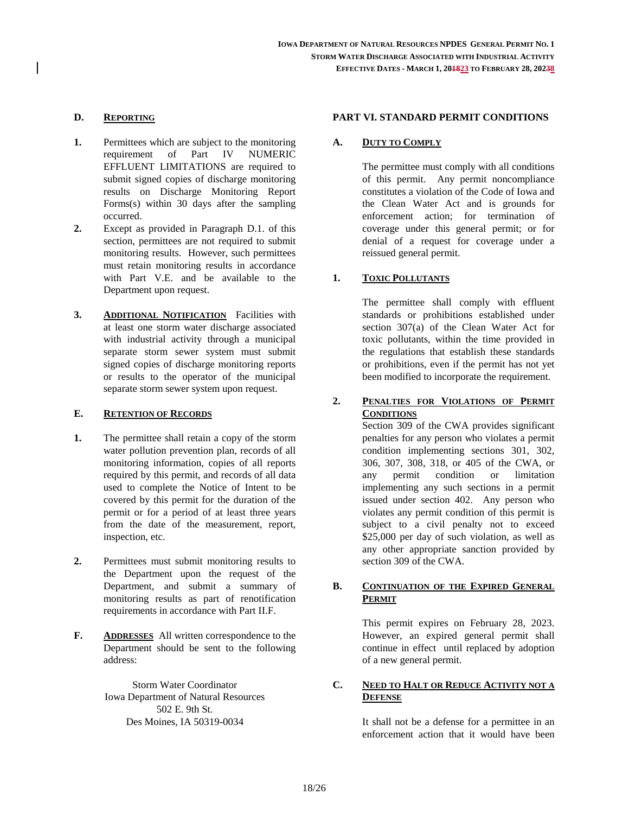# **D. REPORTING**

- **1.** Permittees which are subject to the monitoring requirement of Part IV NUMERIC EFFLUENT LIMITATIONS are required to submit signed copies of discharge monitoring results on Discharge Monitoring Report Forms(s) within 30 days after the sampling occurred.
- **2.** Except as provided in Paragraph D.1. of this section, permittees are not required to submit monitoring results. However, such permittees must retain monitoring results in accordance with Part V.E. and be available to the Department upon request.
- **3. ADDITIONAL NOTIFICATION** Facilities with at least one storm water discharge associated with industrial activity through a municipal separate storm sewer system must submit signed copies of discharge monitoring reports or results to the operator of the municipal separate storm sewer system upon request.

#### **E. RETENTION OF RECORDS**

- **1.** The permittee shall retain a copy of the storm water pollution prevention plan, records of all monitoring information, copies of all reports required by this permit, and records of all data used to complete the Notice of Intent to be covered by this permit for the duration of the permit or for a period of at least three years from the date of the measurement, report, inspection, etc.
- **2.** Permittees must submit monitoring results to the Department upon the request of the Department, and submit a summary of monitoring results as part of renotification requirements in accordance with Part II.F.
- **F. ADDRESSES** All written correspondence to the Department should be sent to the following address:

Storm Water Coordinator Iowa Department of Natural Resources 502 E. 9th St. Des Moines, IA 50319-0034

#### **PART VI. STANDARD PERMIT CONDITIONS**

# **A. DUTY TO COMPLY**

The permittee must comply with all conditions of this permit. Any permit noncompliance constitutes a violation of the Code of Iowa and the Clean Water Act and is grounds for enforcement action; for termination of coverage under this general permit; or for denial of a request for coverage under a reissued general permit.

#### **1. TOXIC POLLUTANTS**

The permittee shall comply with effluent standards or prohibitions established under section 307(a) of the Clean Water Act for toxic pollutants, within the time provided in the regulations that establish these standards or prohibitions, even if the permit has not yet been modified to incorporate the requirement.

#### **2. PENALTIES FOR VIOLATIONS OF PERMIT CONDITIONS**

Section 309 of the CWA provides significant penalties for any person who violates a permit condition implementing sections 301, 302, 306, 307, 308, 318, or 405 of the CWA, or any permit condition or limitation implementing any such sections in a permit issued under section 402. Any person who violates any permit condition of this permit is subject to a civil penalty not to exceed \$25,000 per day of such violation, as well as any other appropriate sanction provided by section 309 of the CWA.

# **B. CONTINUATION OF THE EXPIRED GENERAL PERMIT**

This permit expires on February 28, 2023. However, an expired general permit shall continue in effect until replaced by adoption of a new general permit.

# **C. NEED TO HALT OR REDUCE ACTIVITY NOT A DEFENSE**

It shall not be a defense for a permittee in an enforcement action that it would have been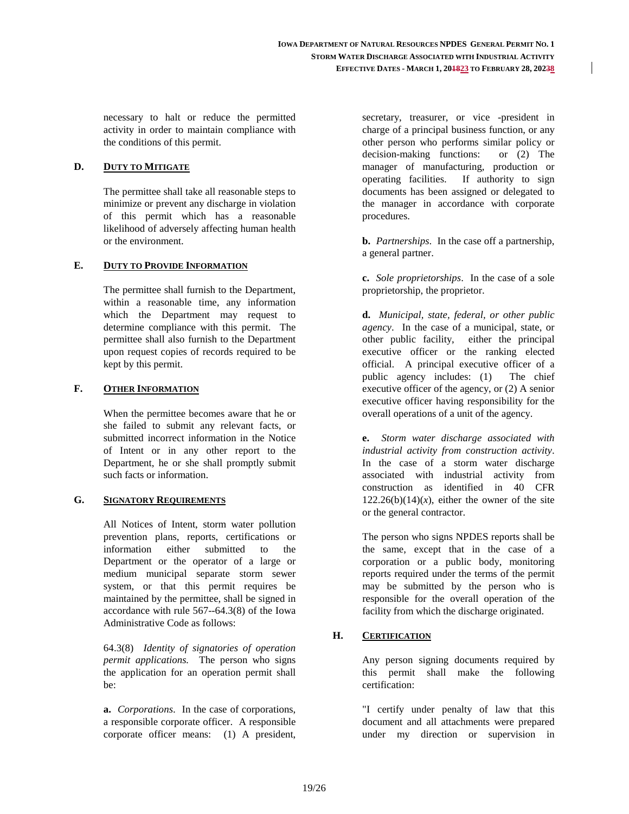necessary to halt or reduce the permitted activity in order to maintain compliance with the conditions of this permit.

# **D. DUTY TO MITIGATE**

The permittee shall take all reasonable steps to minimize or prevent any discharge in violation of this permit which has a reasonable likelihood of adversely affecting human health or the environment.

#### **E. DUTY TO PROVIDE INFORMATION**

The permittee shall furnish to the Department, within a reasonable time, any information which the Department may request to determine compliance with this permit. The permittee shall also furnish to the Department upon request copies of records required to be kept by this permit.

#### **F. OTHER INFORMATION**

When the permittee becomes aware that he or she failed to submit any relevant facts, or submitted incorrect information in the Notice of Intent or in any other report to the Department, he or she shall promptly submit such facts or information.

# **G. SIGNATORY REQUIREMENTS**

All Notices of Intent, storm water pollution prevention plans, reports, certifications or information either submitted to the Department or the operator of a large or medium municipal separate storm sewer system, or that this permit requires be maintained by the permittee, shall be signed in accordance with rule 567--64.3(8) of the Iowa Administrative Code as follows:

64.3(8) *Identity of signatories of operation permit applications.* The person who signs the application for an operation permit shall be:

**a.** *Corporations*. In the case of corporations, a responsible corporate officer. A responsible corporate officer means: (1) A president, secretary, treasurer, or vice -president in charge of a principal business function, or any other person who performs similar policy or decision-making functions: or (2) The manager of manufacturing, production or operating facilities. If authority to sign documents has been assigned or delegated to the manager in accordance with corporate procedures.

**b.** *Partnerships*. In the case off a partnership, a general partner.

**c.** *Sole proprietorships*. In the case of a sole proprietorship, the proprietor.

**d.** *Municipal, state, federal, or other public agency*. In the case of a municipal, state, or other public facility, either the principal executive officer or the ranking elected official. A principal executive officer of a public agency includes: (1) The chief executive officer of the agency, or (2) A senior executive officer having responsibility for the overall operations of a unit of the agency.

**e.** *Storm water discharge associated with industrial activity from construction activity*. In the case of a storm water discharge associated with industrial activity from construction as identified in 40 CFR  $122.26(b)(14)(x)$ , either the owner of the site or the general contractor.

The person who signs NPDES reports shall be the same, except that in the case of a corporation or a public body, monitoring reports required under the terms of the permit may be submitted by the person who is responsible for the overall operation of the facility from which the discharge originated.

# **H. CERTIFICATION**

Any person signing documents required by this permit shall make the following certification:

"I certify under penalty of law that this document and all attachments were prepared under my direction or supervision in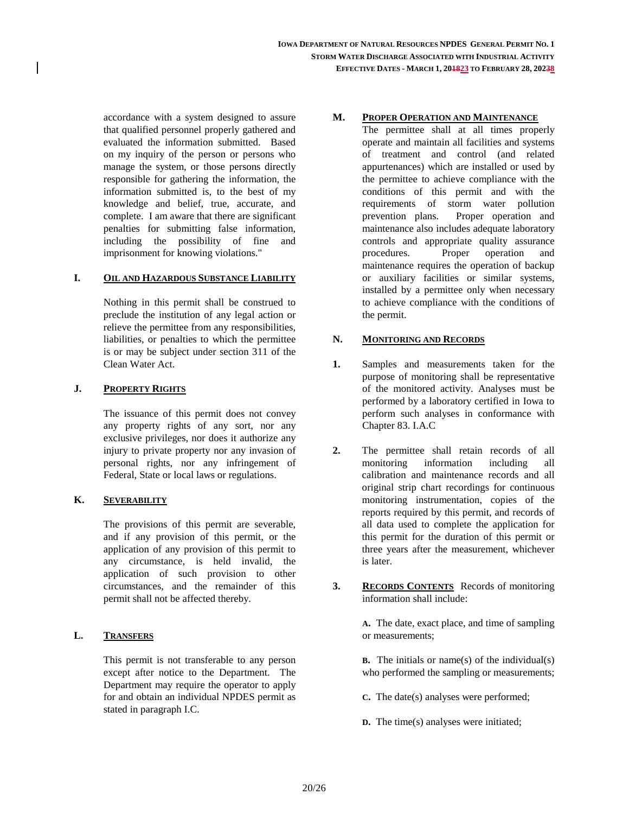accordance with a system designed to assure that qualified personnel properly gathered and evaluated the information submitted. Based on my inquiry of the person or persons who manage the system, or those persons directly responsible for gathering the information, the information submitted is, to the best of my knowledge and belief, true, accurate, and complete. I am aware that there are significant penalties for submitting false information, including the possibility of fine and imprisonment for knowing violations."

#### **I. OIL AND HAZARDOUS SUBSTANCE LIABILITY**

Nothing in this permit shall be construed to preclude the institution of any legal action or relieve the permittee from any responsibilities, liabilities, or penalties to which the permittee is or may be subject under section 311 of the Clean Water Act.

#### **J. PROPERTY RIGHTS**

The issuance of this permit does not convey any property rights of any sort, nor any exclusive privileges, nor does it authorize any injury to private property nor any invasion of personal rights, nor any infringement of Federal, State or local laws or regulations.

# **K. SEVERABILITY**

The provisions of this permit are severable, and if any provision of this permit, or the application of any provision of this permit to any circumstance, is held invalid, the application of such provision to other circumstances, and the remainder of this permit shall not be affected thereby.

# **L. TRANSFERS**

This permit is not transferable to any person except after notice to the Department. The Department may require the operator to apply for and obtain an individual NPDES permit as stated in paragraph I.C.

#### **M. PROPER OPERATION AND MAINTENANCE**

The permittee shall at all times properly operate and maintain all facilities and systems of treatment and control (and related appurtenances) which are installed or used by the permittee to achieve compliance with the conditions of this permit and with the requirements of storm water pollution prevention plans. Proper operation and maintenance also includes adequate laboratory controls and appropriate quality assurance procedures. Proper operation and maintenance requires the operation of backup or auxiliary facilities or similar systems, installed by a permittee only when necessary to achieve compliance with the conditions of the permit.

#### **N. MONITORING AND RECORDS**

- **1.** Samples and measurements taken for the purpose of monitoring shall be representative of the monitored activity. Analyses must be performed by a laboratory certified in Iowa to perform such analyses in conformance with Chapter 83. I.A.C
- **2.** The permittee shall retain records of all monitoring information including all calibration and maintenance records and all original strip chart recordings for continuous monitoring instrumentation, copies of the reports required by this permit, and records of all data used to complete the application for this permit for the duration of this permit or three years after the measurement, whichever is later.
- **3. RECORDS CONTENTS** Records of monitoring information shall include:

**A.** The date, exact place, and time of sampling or measurements;

- **B.** The initials or name(s) of the individual(s) who performed the sampling or measurements;
- **C.** The date(s) analyses were performed;
- **D.** The time(s) analyses were initiated;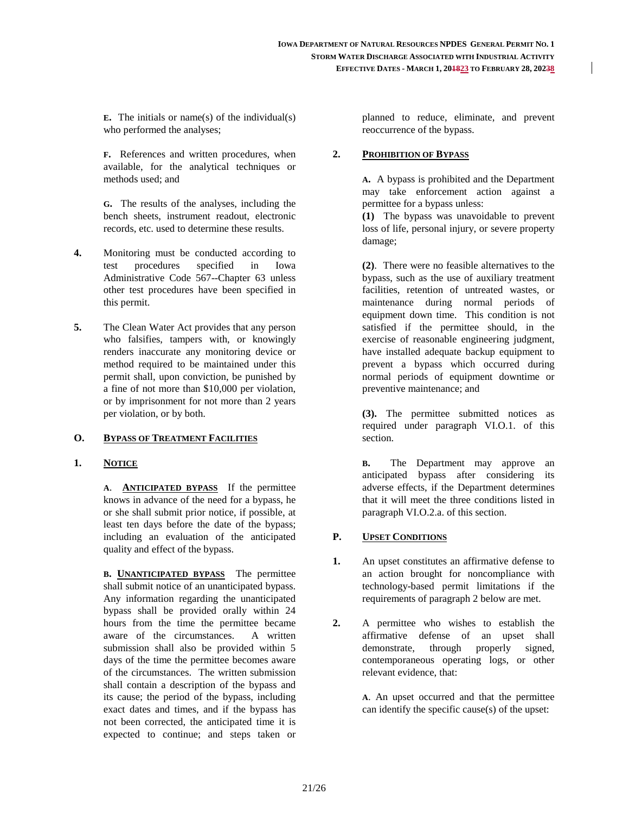**E.** The initials or name(s) of the individual(s) who performed the analyses;

**F.** References and written procedures, when available, for the analytical techniques or methods used; and

**G.** The results of the analyses, including the bench sheets, instrument readout, electronic records, etc. used to determine these results.

- **4.** Monitoring must be conducted according to test procedures specified in Iowa Administrative Code 567--Chapter 63 unless other test procedures have been specified in this permit.
- **5.** The Clean Water Act provides that any person who falsifies, tampers with, or knowingly renders inaccurate any monitoring device or method required to be maintained under this permit shall, upon conviction, be punished by a fine of not more than \$10,000 per violation, or by imprisonment for not more than 2 years per violation, or by both.

# **O.** BYPASS OF TREATMENT FACILITIES

# **1. NOTICE**

**A**. **ANTICIPATED BYPASS** If the permittee knows in advance of the need for a bypass, he or she shall submit prior notice, if possible, at least ten days before the date of the bypass; including an evaluation of the anticipated quality and effect of the bypass.

**B. UNANTICIPATED BYPASS** The permittee shall submit notice of an unanticipated bypass. Any information regarding the unanticipated bypass shall be provided orally within 24 hours from the time the permittee became aware of the circumstances. A written submission shall also be provided within 5 days of the time the permittee becomes aware of the circumstances. The written submission shall contain a description of the bypass and its cause; the period of the bypass, including exact dates and times, and if the bypass has not been corrected, the anticipated time it is expected to continue; and steps taken or

planned to reduce, eliminate, and prevent reoccurrence of the bypass.

#### **2. PROHIBITION OF BYPASS**

**A.** A bypass is prohibited and the Department may take enforcement action against a permittee for a bypass unless:

**(1)** The bypass was unavoidable to prevent loss of life, personal injury, or severe property damage;

**(2)**. There were no feasible alternatives to the bypass, such as the use of auxiliary treatment facilities, retention of untreated wastes, or maintenance during normal periods of equipment down time. This condition is not satisfied if the permittee should, in the exercise of reasonable engineering judgment, have installed adequate backup equipment to prevent a bypass which occurred during normal periods of equipment downtime or preventive maintenance; and

**(3).** The permittee submitted notices as required under paragraph VI.O.1. of this section.

**B.** The Department may approve an anticipated bypass after considering its adverse effects, if the Department determines that it will meet the three conditions listed in paragraph VI.O.2.a. of this section.

# **P. UPSET CONDITIONS**

- **1.** An upset constitutes an affirmative defense to an action brought for noncompliance with technology-based permit limitations if the requirements of paragraph 2 below are met.
- **2.** A permittee who wishes to establish the affirmative defense of an upset shall demonstrate, through properly signed, contemporaneous operating logs, or other relevant evidence, that:

**A**. An upset occurred and that the permittee can identify the specific cause(s) of the upset: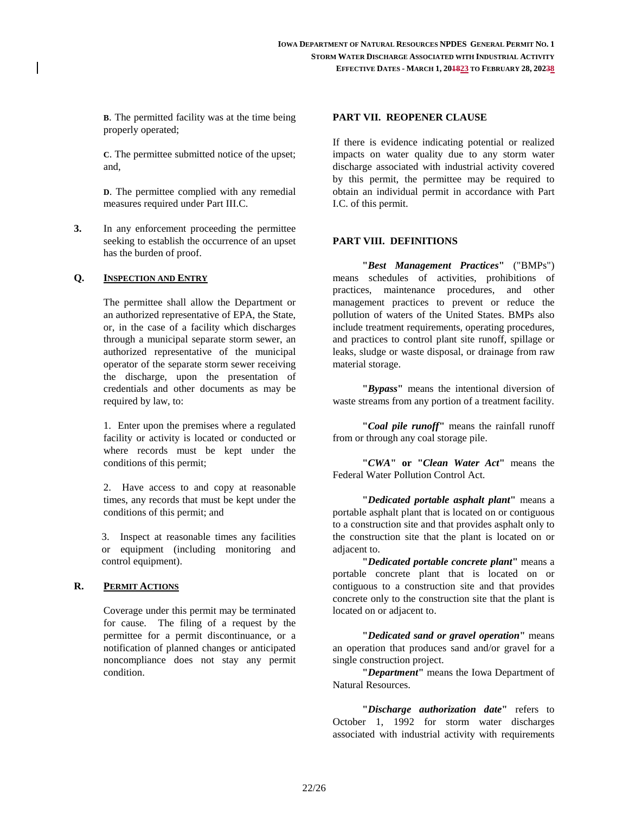**B**. The permitted facility was at the time being properly operated;

**C**. The permittee submitted notice of the upset; and,

**D**. The permittee complied with any remedial measures required under Part III.C.

**3.** In any enforcement proceeding the permittee seeking to establish the occurrence of an upset has the burden of proof.

#### **Q. INSPECTION AND ENTRY**

The permittee shall allow the Department or an authorized representative of EPA, the State, or, in the case of a facility which discharges through a municipal separate storm sewer, an authorized representative of the municipal operator of the separate storm sewer receiving the discharge, upon the presentation of credentials and other documents as may be required by law, to:

1. Enter upon the premises where a regulated facility or activity is located or conducted or where records must be kept under the conditions of this permit;

2. Have access to and copy at reasonable times, any records that must be kept under the conditions of this permit; and

3. Inspect at reasonable times any facilities or equipment (including monitoring and control equipment).

# **R. PERMIT ACTIONS**

Coverage under this permit may be terminated for cause. The filing of a request by the permittee for a permit discontinuance, or a notification of planned changes or anticipated noncompliance does not stay any permit condition.

#### **PART VII. REOPENER CLAUSE**

If there is evidence indicating potential or realized impacts on water quality due to any storm water discharge associated with industrial activity covered by this permit, the permittee may be required to obtain an individual permit in accordance with Part I.C. of this permit.

#### **PART VIII. DEFINITIONS**

**"***Best Management Practices***"** ("BMPs") means schedules of activities, prohibitions of practices, maintenance procedures, and other management practices to prevent or reduce the pollution of waters of the United States. BMPs also include treatment requirements, operating procedures, and practices to control plant site runoff, spillage or leaks, sludge or waste disposal, or drainage from raw material storage.

**"***Bypass***"** means the intentional diversion of waste streams from any portion of a treatment facility.

**"***Coal pile runoff***"** means the rainfall runoff from or through any coal storage pile.

**"***CWA***" or "***Clean Water Act***"** means the Federal Water Pollution Control Act.

**"***Dedicated portable asphalt plant***"** means a portable asphalt plant that is located on or contiguous to a construction site and that provides asphalt only to the construction site that the plant is located on or adjacent to.

**"***Dedicated portable concrete plant***"** means a portable concrete plant that is located on or contiguous to a construction site and that provides concrete only to the construction site that the plant is located on or adjacent to.

**"***Dedicated sand or gravel operation***"** means an operation that produces sand and/or gravel for a single construction project.

**"***Department***"** means the Iowa Department of Natural Resources.

**"***Discharge authorization date***"** refers to October 1, 1992 for storm water discharges associated with industrial activity with requirements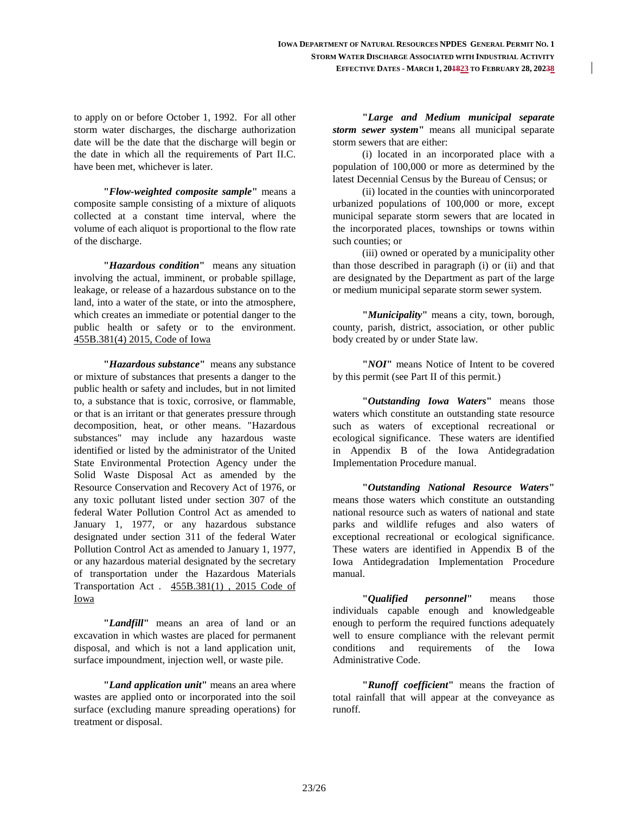to apply on or before October 1, 1992. For all other storm water discharges, the discharge authorization date will be the date that the discharge will begin or the date in which all the requirements of Part II.C. have been met, whichever is later.

**"***Flow-weighted composite sample***"** means a composite sample consisting of a mixture of aliquots collected at a constant time interval, where the volume of each aliquot is proportional to the flow rate of the discharge.

 **"***Hazardous condition***"** means any situation involving the actual, imminent, or probable spillage, leakage, or release of a hazardous substance on to the land, into a water of the state, or into the atmosphere, which creates an immediate or potential danger to the public health or safety or to the environment. 455B.381(4) 2015, Code of Iowa

**"***Hazardous substance***"** means any substance or mixture of substances that presents a danger to the public health or safety and includes, but in not limited to, a substance that is toxic, corrosive, or flammable, or that is an irritant or that generates pressure through decomposition, heat, or other means. "Hazardous substances" may include any hazardous waste identified or listed by the administrator of the United State Environmental Protection Agency under the Solid Waste Disposal Act as amended by the Resource Conservation and Recovery Act of 1976, or any toxic pollutant listed under section 307 of the federal Water Pollution Control Act as amended to January 1, 1977, or any hazardous substance designated under section 311 of the federal Water Pollution Control Act as amended to January 1, 1977, or any hazardous material designated by the secretary of transportation under the Hazardous Materials Transportation Act . 455B.381(1) , 2015 Code of Iowa

 **"***Landfill***"** means an area of land or an excavation in which wastes are placed for permanent disposal, and which is not a land application unit, surface impoundment, injection well, or waste pile.

 **"***Land application unit***"** means an area where wastes are applied onto or incorporated into the soil surface (excluding manure spreading operations) for treatment or disposal.

**"***Large and Medium municipal separate storm sewer system***"** means all municipal separate storm sewers that are either:

(i) located in an incorporated place with a population of 100,000 or more as determined by the latest Decennial Census by the Bureau of Census; or

(ii) located in the counties with unincorporated urbanized populations of 100,000 or more, except municipal separate storm sewers that are located in the incorporated places, townships or towns within such counties; or

(iii) owned or operated by a municipality other than those described in paragraph (i) or (ii) and that are designated by the Department as part of the large or medium municipal separate storm sewer system.

**"***Municipality***"** means a city, town, borough, county, parish, district, association, or other public body created by or under State law.

**"***NOI***"** means Notice of Intent to be covered by this permit (see Part II of this permit.)

 **"***Outstanding Iowa Waters***"** means those waters which constitute an outstanding state resource such as waters of exceptional recreational or ecological significance. These waters are identified in Appendix B of the Iowa Antidegradation Implementation Procedure manual.

 **"***Outstanding National Resource Waters***"** means those waters which constitute an outstanding national resource such as waters of national and state parks and wildlife refuges and also waters of exceptional recreational or ecological significance. These waters are identified in Appendix B of the Iowa Antidegradation Implementation Procedure manual.

 **"***Qualified personnel***"** means those individuals capable enough and knowledgeable enough to perform the required functions adequately well to ensure compliance with the relevant permit conditions and requirements of the Iowa Administrative Code.

**"***Runoff coefficient***"** means the fraction of total rainfall that will appear at the conveyance as runoff.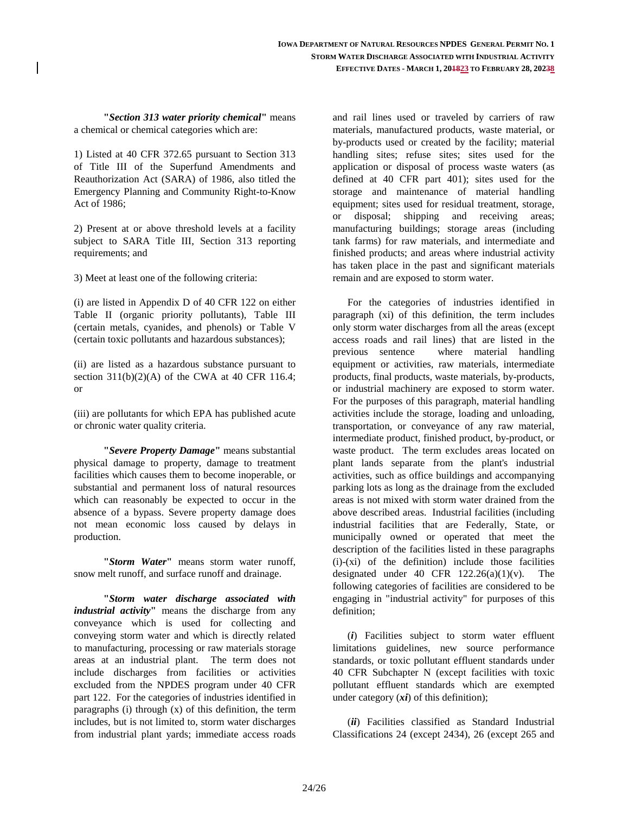**"***Section 313 water priority chemical***"** means a chemical or chemical categories which are:

1) Listed at 40 CFR 372.65 pursuant to Section 313 of Title III of the Superfund Amendments and Reauthorization Act (SARA) of 1986, also titled the Emergency Planning and Community Right-to-Know Act of 1986;

2) Present at or above threshold levels at a facility subject to SARA Title III, Section 313 reporting requirements; and

3) Meet at least one of the following criteria:

(i) are listed in Appendix D of 40 CFR 122 on either Table II (organic priority pollutants), Table III (certain metals, cyanides, and phenols) or Table V (certain toxic pollutants and hazardous substances);

(ii) are listed as a hazardous substance pursuant to section  $311(b)(2)(A)$  of the CWA at 40 CFR 116.4; or

(iii) are pollutants for which EPA has published acute or chronic water quality criteria.

**"***Severe Property Damage***"** means substantial physical damage to property, damage to treatment facilities which causes them to become inoperable, or substantial and permanent loss of natural resources which can reasonably be expected to occur in the absence of a bypass. Severe property damage does not mean economic loss caused by delays in production.

 **"***Storm Water***"** means storm water runoff, snow melt runoff, and surface runoff and drainage.

 **"***Storm water discharge associated with industrial activity***"** means the discharge from any conveyance which is used for collecting and conveying storm water and which is directly related to manufacturing, processing or raw materials storage areas at an industrial plant. The term does not include discharges from facilities or activities excluded from the NPDES program under 40 CFR part 122. For the categories of industries identified in paragraphs  $(i)$  through  $(x)$  of this definition, the term includes, but is not limited to, storm water discharges from industrial plant yards; immediate access roads

and rail lines used or traveled by carriers of raw materials, manufactured products, waste material, or by-products used or created by the facility; material handling sites; refuse sites; sites used for the application or disposal of process waste waters (as defined at 40 CFR part 401); sites used for the storage and maintenance of material handling equipment; sites used for residual treatment, storage, or disposal; shipping and receiving areas; manufacturing buildings; storage areas (including tank farms) for raw materials, and intermediate and finished products; and areas where industrial activity has taken place in the past and significant materials remain and are exposed to storm water.

For the categories of industries identified in paragraph (xi) of this definition, the term includes only storm water discharges from all the areas (except access roads and rail lines) that are listed in the previous sentence where material handling equipment or activities, raw materials, intermediate products, final products, waste materials, by-products, or industrial machinery are exposed to storm water. For the purposes of this paragraph, material handling activities include the storage, loading and unloading, transportation, or conveyance of any raw material, intermediate product, finished product, by-product, or waste product. The term excludes areas located on plant lands separate from the plant's industrial activities, such as office buildings and accompanying parking lots as long as the drainage from the excluded areas is not mixed with storm water drained from the above described areas. Industrial facilities (including industrial facilities that are Federally, State, or municipally owned or operated that meet the description of the facilities listed in these paragraphs (i)-(xi) of the definition) include those facilities designated under 40 CFR  $122.26(a)(1)(v)$ . The following categories of facilities are considered to be engaging in "industrial activity" for purposes of this definition;

 (*i*) Facilities subject to storm water effluent limitations guidelines, new source performance standards, or toxic pollutant effluent standards under 40 CFR Subchapter N (except facilities with toxic pollutant effluent standards which are exempted under category (*xi*) of this definition);

 (*ii*) Facilities classified as Standard Industrial Classifications 24 (except 2434), 26 (except 265 and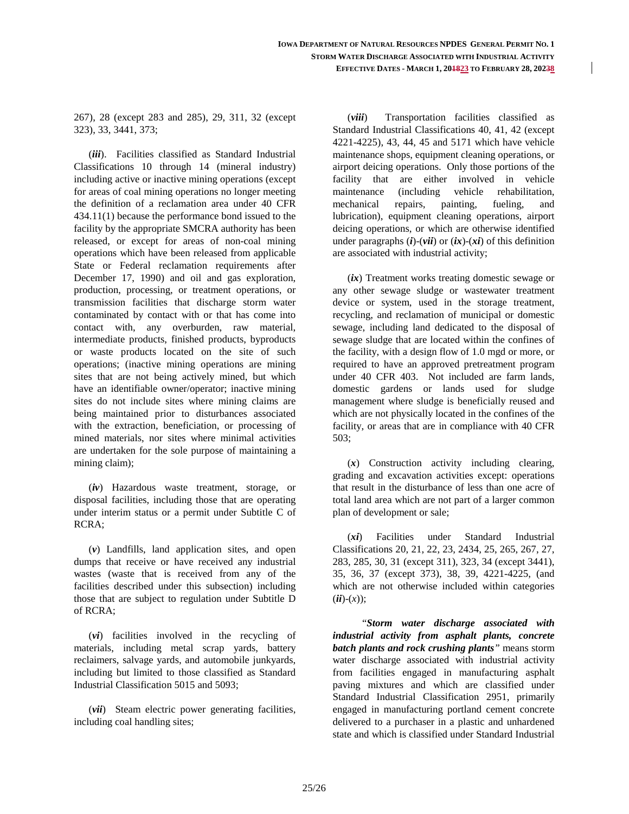267), 28 (except 283 and 285), 29, 311, 32 (except 323), 33, 3441, 373;

 (*iii*). Facilities classified as Standard Industrial Classifications 10 through 14 (mineral industry) including active or inactive mining operations (except for areas of coal mining operations no longer meeting the definition of a reclamation area under 40 CFR 434.11(1) because the performance bond issued to the facility by the appropriate SMCRA authority has been released, or except for areas of non-coal mining operations which have been released from applicable State or Federal reclamation requirements after December 17, 1990) and oil and gas exploration, production, processing, or treatment operations, or transmission facilities that discharge storm water contaminated by contact with or that has come into contact with, any overburden, raw material, intermediate products, finished products, byproducts or waste products located on the site of such operations; (inactive mining operations are mining sites that are not being actively mined, but which have an identifiable owner/operator; inactive mining sites do not include sites where mining claims are being maintained prior to disturbances associated with the extraction, beneficiation, or processing of mined materials, nor sites where minimal activities are undertaken for the sole purpose of maintaining a mining claim);

 (*iv*) Hazardous waste treatment, storage, or disposal facilities, including those that are operating under interim status or a permit under Subtitle C of RCRA;

 (*v*) Landfills, land application sites, and open dumps that receive or have received any industrial wastes (waste that is received from any of the facilities described under this subsection) including those that are subject to regulation under Subtitle D of RCRA;

 (*vi*) facilities involved in the recycling of materials, including metal scrap yards, battery reclaimers, salvage yards, and automobile junkyards, including but limited to those classified as Standard Industrial Classification 5015 and 5093;

 (*vii*) Steam electric power generating facilities, including coal handling sites;

 (*viii*) Transportation facilities classified as Standard Industrial Classifications 40, 41, 42 (except 4221-4225), 43, 44, 45 and 5171 which have vehicle maintenance shops, equipment cleaning operations, or airport deicing operations. Only those portions of the facility that are either involved in vehicle maintenance (including vehicle rehabilitation, mechanical repairs, painting, fueling, and lubrication), equipment cleaning operations, airport deicing operations, or which are otherwise identified under paragraphs  $(i)$ - $(vii)$  or  $(ix)$ - $(xi)$  of this definition are associated with industrial activity;

 (*ix*) Treatment works treating domestic sewage or any other sewage sludge or wastewater treatment device or system, used in the storage treatment, recycling, and reclamation of municipal or domestic sewage, including land dedicated to the disposal of sewage sludge that are located within the confines of the facility, with a design flow of 1.0 mgd or more, or required to have an approved pretreatment program under 40 CFR 403. Not included are farm lands, domestic gardens or lands used for sludge management where sludge is beneficially reused and which are not physically located in the confines of the facility, or areas that are in compliance with 40 CFR 503;

 (*x*) Construction activity including clearing, grading and excavation activities except: operations that result in the disturbance of less than one acre of total land area which are not part of a larger common plan of development or sale;

 (*xi*) Facilities under Standard Industrial Classifications 20, 21, 22, 23, 2434, 25, 265, 267, 27, 283, 285, 30, 31 (except 311), 323, 34 (except 3441), 35, 36, 37 (except 373), 38, 39, 4221-4225, (and which are not otherwise included within categories  $(iii)$ - $(x)$ );

 "*Storm water discharge associated with industrial activity from asphalt plants, concrete batch plants and rock crushing plants"* means storm water discharge associated with industrial activity from facilities engaged in manufacturing asphalt paving mixtures and which are classified under Standard Industrial Classification 2951, primarily engaged in manufacturing portland cement concrete delivered to a purchaser in a plastic and unhardened state and which is classified under Standard Industrial